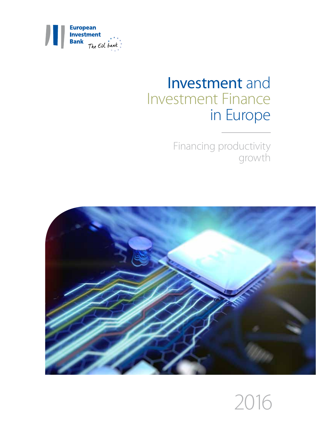

# Investment and Investment Finance in Europe

Financing productivity growth



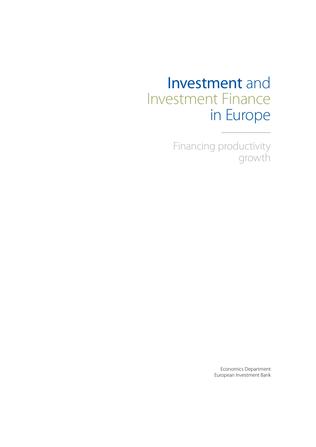# Investment and Investment Finance in Europe

Financing productivity growth

> Economics Department European Investment Bank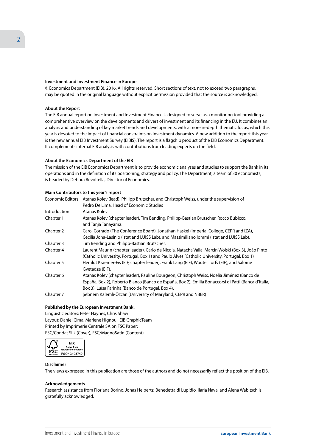#### **Investment and Investment Finance in Europe**

© Economics Department (EIB), 2016. All rights reserved. Short sections of text, not to exceed two paragraphs, may be quoted in the original language without explicit permission provided that the source is acknowledged.

#### **About the Report**

The EIB annual report on Investment and Investment Finance is designed to serve as a monitoring tool providing a comprehensive overview on the developments and drivers of investment and its financing in the EU. It combines an analysis and understanding of key market trends and developments, with a more in-depth thematic focus, which this year is devoted to the impact of financial constraints on investment dynamics. A new addition to the report this year is the new annual EIB Investment Survey (EIBIS). The report is a flagship product of the EIB Economics Department. It complements internal EIB analysis with contributions from leading experts on the field.

#### **About the Economics Department of the EIB**

The mission of the EIB Economics Department is to provide economic analyses and studies to support the Bank in its operations and in the definition of its positioning, strategy and policy. The Department, a team of 30 economists, is headed by Debora Revoltella, Director of Economics.

#### **Main Contributors to this year's report**

| Economic Editors | Atanas Kolev (lead), Philipp Brutscher, and Christoph Weiss, under the supervision of                                                                     |
|------------------|-----------------------------------------------------------------------------------------------------------------------------------------------------------|
|                  | Pedro De Lima, Head of Economic Studies                                                                                                                   |
| Introduction     | Atanas Kolev                                                                                                                                              |
| Chapter 1        | Atanas Koley (chapter leader), Tim Bending, Philipp-Bastian Brutscher, Rocco Bubicco,<br>and Tanja Tanayama.                                              |
| Chapter 2        | Carol Corrado (The Conference Board), Jonathan Haskel (Imperial College, CEPR and IZA),                                                                   |
|                  | Cecilia Jona-Lasinio (Istat and LUISS Lab), and Massimiliano lommi (Istat and LUISS Lab).                                                                 |
| Chapter 3        | Tim Bending and Philipp-Bastian Brutscher.                                                                                                                |
| Chapter 4        | Laurent Maurin (chapter leader), Carlo de Nicola, Natacha Valla, Marcin Wolski (Box 3), João Pinto                                                        |
|                  | (Catholic University, Portugal, Box 1) and Paulo Alves (Catholic University, Portugal, Box 1)                                                             |
| Chapter 5        | Hemlut Kraemer-Eis (EIF, chapter leader), Frank Lang (EIF), Wouter Torfs (EIF), and Salome<br>Gvetadze (EIF).                                             |
| Chapter 6        | Atanas Kolev (chapter leader), Pauline Bourgeon, Christoph Weiss, Noelia Jiménez (Banco de                                                                |
|                  | España, Box 2), Roberto Blanco (Banco de España, Box 2), Emilia Bonaccorsi di Patti (Banca d'Italia,<br>Box 3), Luísa Farinha (Banco de Portugal, Box 4). |
| Chapter 7        | Şebnem Kalemli-Özcan (University of Maryland, CEPR and NBER)                                                                                              |
|                  |                                                                                                                                                           |

#### **Published by the European Investment Bank.**

Linguistic editors: Peter Haynes, Chris Shaw Layout: Daniel Cima, Marlène Hignoul, EIB GraphicTeam Printed by Imprimerie Centrale SA on FSC Paper: FSC/Condat Silk (Cover), FSC/MagnoSatin (Content)



#### **Disclaimer**

The views expressed in this publication are those of the authors and do not necessarily reflect the position of the EIB.

#### **Acknowledgements**

Research assistance from Floriana Borino, Jonas Heipertz, Benedetta di Lupidio, Ilaria Nava, and Alena Wabitsch is gratefully acknowledged.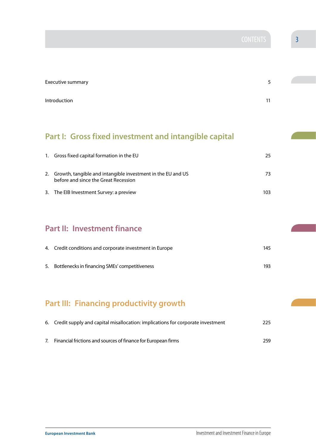| Executive summary |    |
|-------------------|----|
| Introduction      | 11 |

# **Part I: Gross fixed investment and intangible capital**

| 1. Gross fixed capital formation in the EU                                                             | 25. |
|--------------------------------------------------------------------------------------------------------|-----|
| 2. Growth, tangible and intangible investment in the EU and US<br>before and since the Great Recession | 73. |
| 3. The EIB Investment Survey: a preview                                                                | 103 |

## **Part II: Investment finance**

| 4. Credit conditions and corporate investment in Europe | 145 |
|---------------------------------------------------------|-----|
|                                                         |     |
| 5. Bottlenecks in financing SMEs' competitiveness       | 193 |

# **Part III: Financing productivity growth**

| 6. Credit supply and capital misallocation: implications for corporate investment | 225 |
|-----------------------------------------------------------------------------------|-----|
| 7. Financial frictions and sources of finance for European firms                  | 259 |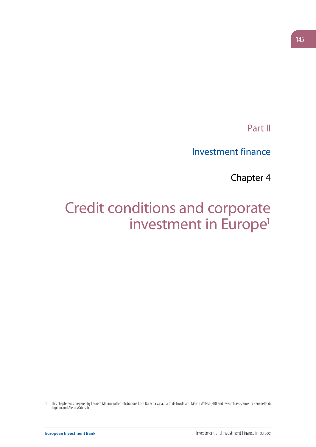Part II

# Investment finance

Chapter 4

# Credit conditions and corporate investment in Europe<sup>1</sup>

<sup>1</sup> This chapter was prepared by Laurent Maurin with contributions from Natacha Valla, Carlo de Nicola and Marcin Wolski (EIB) and research assistance by Benedetta di Lupidio and Alena Wabitsch.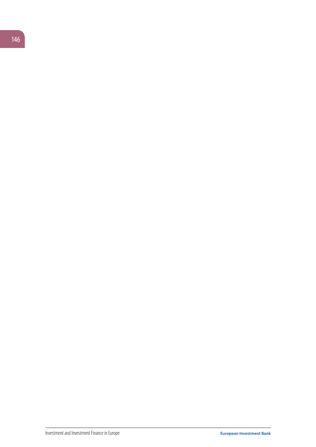146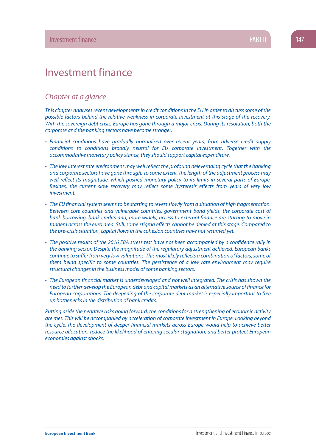# Investment finance

### *Chapter at a glance*

*This chapter analyses recent developments in credit conditions in the EU in order to discuss some of the possible factors behind the relative weakness in corporate investment at this stage of the recovery. With the sovereign debt crisis, Europe has gone through a major crisis. During its resolution, both the corporate and the banking sectors have become stronger.* 

- *• Financial conditions have gradually normalised over recent years, from adverse credit supply conditions to conditions broadly neutral for EU corporate investment. Together with the accommodative monetary policy stance, they should support capital expenditure.*
- *• The low interest rate environment may well reflect the profound deleveraging cycle that the banking and corporate sectors have gone through. To some extent, the length of the adjustment process may well reflect its magnitude, which pushed monetary policy to its limits in several parts of Europe. Besides, the current slow recovery may reflect some hysteresis effects from years of very low investment.*
- *• The EU financial system seems to be starting to revert slowly from a situation of high fragmentation. Between core countries and vulnerable countries, government bond yields, the corporate cost of bank borrowing, bank credits and, more widely, access to external finance are starting to move in tandem across the euro area. Still, some stigma effects cannot be denied at this stage. Compared to the pre-crisis situation, capital flows in the cohesion countries have not resumed yet.*
- *• The positive results of the 2016 EBA stress test have not been accompanied by a confidence rally in the banking sector. Despite the magnitude of the regulatory adjustment achieved, European banks continue to suffer from very low valuations. This most likely reflects a combination of factors, some of them being specific to some countries. The persistence of a low rate environment may require structural changes in the business model of some banking sectors.*
- *• The European financial market is underdeveloped and not well integrated. The crisis has shown the need to further develop the European debt and capital markets as an alternative source of finance for European corporations. The deepening of the corporate debt market is especially important to free up bottlenecks in the distribution of bank credits.*

*Putting aside the negative risks going forward, the conditions for a strengthening of economic activity are met. This will be accompanied by acceleration of corporate investment in Europe. Looking beyond the cycle, the development of deeper financial markets across Europe would help to achieve better resource allocation, reduce the likelihood of entering secular stagnation, and better protect European economies against shocks.*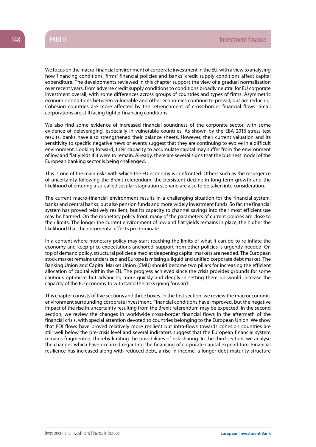We focus on the macro-financial environment of corporate investment in the EU, with a view to analysing how financing conditions, firms' financial policies and banks' credit supply conditions affect capital expenditure. The developments reviewed in this chapter support the view of a gradual normalisation over recent years, from adverse credit supply conditions to conditions broadly neutral for EU corporate investment overall, with some differences across groups of countries and types of firms. Asymmetric economic conditions between vulnerable and other economies continue to prevail, but are reducing. Cohesion countries are more affected by the retrenchment of cross-border financial flows. Small corporations are still facing tighter financing conditions.

We also find some evidence of increased financial soundness of the corporate sector, with some evidence of deleveraging, especially in vulnerable countries. As shown by the EBA 2016 stress test results, banks have also strengthened their balance sheets. However, their current valuation and its sensitivity to specific negative news or events suggest that they are continuing to evolve in a difficult environment. Looking forward, their capacity to accumulate capital may suffer from the environment of low and flat yields if it were to remain. Already, there are several signs that the business model of the European banking sector is being challenged.

This is one of the main risks with which the EU economy is confronted. Others such as the resurgence of uncertainty following the Brexit referendum, the persistent decline in long-term growth and the likelihood of entering a so-called secular stagnation scenario are also to be taken into consideration.

The current macro-financial environment results in a challenging situation for the financial system, banks and central banks, but also pension funds and more widely investment funds. So far, the financial system has proved relatively resilient, but its capacity to channel savings into their most efficient use may be harmed. On the monetary policy front, many of the parameters of current policies are close to their limits. The longer the current environment of low and flat yields remains in place, the higher the likelihood that the detrimental effects predominate.

In a context where monetary policy may start reaching the limits of what it can do to re-inflate the economy and keep price expectations anchored, support from other policies is urgently needed. On top of demand policy, structural policies aimed at deepening capital markets are needed. The European stock market remains undersized and Europe is missing a liquid and unified corporate debt market. The Banking Union and Capital Market Union (CMU) should become two pillars for increasing the efficient allocation of capital within the EU. The progress achieved since the crisis provides grounds for some cautious optimism but advancing more quickly and deeply in setting them up would increase the capacity of the EU economy to withstand the risks going forward.

This chapter consists of five sections and three boxes. In the first section, we review the macroeconomic environment surrounding corporate investment. Financial conditions have improved, but the negative impact of the rise in uncertainty resulting from the Brexit referendum may be expected. In the second section, we review the changes in worldwide cross-border financial flows in the aftermath of the financial crisis, with special attention devoted to countries belonging to the European Union. We show that FDI flows have proved relatively more resilient but intra-flows towards cohesion countries are still well below the pre-crisis level and several indicators suggest that the European financial system remains fragmented, thereby limiting the possibilities of risk-sharing. In the third section, we analyse the changes which have occurred regarding the financing of corporate capital expenditure. Financial resilience has increased along with reduced debt, a rise in income, a longer debt maturity structure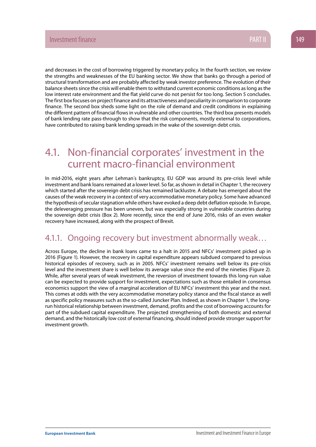and decreases in the cost of borrowing triggered by monetary policy. In the fourth section, we review the strengths and weaknesses of the EU banking sector. We show that banks go through a period of structural transformation and are probably affected by weak investor preference. The evolution of their balance sheets since the crisis will enable them to withstand current economic conditions as long as the low interest rate environment and the flat yield curve do not persist for too long. Section 5 concludes. The first box focuses on project finance and its attractiveness and peculiarity in comparison to corporate finance. The second box sheds some light on the role of demand and credit conditions in explaining the different pattern of financial flows in vulnerable and other countries. The third box presents models of bank lending rate pass-through to show that the risk components, mostly external to corporations, have contributed to raising bank lending spreads in the wake of the sovereign debt crisis.

# 4.1. Non-financial corporates' investment in the current macro-financial environment

In mid-2016, eight years after Lehman´s bankruptcy, EU GDP was around its pre-crisis level while investment and bank loans remained at a lower level. So far, as shown in detail in Chapter 1, the recovery which started after the sovereign debt crisis has remained lacklustre. A debate has emerged about the causes of the weak recovery in a context of very accommodative monetary policy. Some have advanced the hypothesis of secular stagnation while others have evoked a deep debt deflation episode. In Europe, the deleveraging pressure has been uneven, but was especially strong in vulnerable countries during the sovereign debt crisis (Box 2). More recently, since the end of June 2016, risks of an even weaker recovery have increased, along with the prospect of Brexit.

# 4.1.1. Ongoing recovery but investment abnormally weak…

Across Europe, the decline in bank loans came to a halt in 2015 and NFCs' investment picked up in 2016 (Figure 1). However, the recovery in capital expenditure appears subdued compared to previous historical episodes of recovery, such as in 2005. NFCs' investment remains well below its pre-crisis level and the investment share is well below its average value since the end of the nineties (Figure 2). While, after several years of weak investment, the reversion of investment towards this long-run value can be expected to provide support for investment, expectations such as those entailed in consensus economics support the view of a marginal acceleration of EU NFCs' investment this year and the next. This comes at odds with the very accommodative monetary policy stance and the fiscal stance as well as specific policy measures such as the so-called Juncker Plan. Indeed, as shown in Chapter 1, the longrun historical relationship between investment, demand, profits and the cost of borrowing accounts for part of the subdued capital expenditure. The projected strengthening of both domestic and external demand, and the historically low cost of external financing, should indeed provide stronger support for investment growth.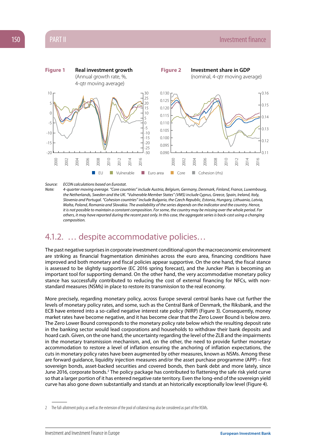



*Source: ECON calculations based on Eurostat.* 

### 4.1.2. … despite accommodative policies…

The past negative surprises in corporate investment conditional upon the macroeconomic environment are striking as financial fragmentation diminishes across the euro area, financing conditions have improved and both monetary and fiscal policies appear supportive. On the one hand, the fiscal stance is assessed to be slightly supportive (EC 2016 spring forecast), and the Juncker Plan is becoming an important tool for supporting demand. On the other hand, the very accommodative monetary policy stance has successfully contributed to reducing the cost of external financing for NFCs, with nonstandard measures (NSMs) in place to restore its transmission to the real economy.

More precisely, regarding monetary policy, across Europe several central banks have cut further the levels of monetary policy rates, and some, such as the Central Bank of Denmark, the Riksbank, and the ECB have entered into a so-called negative interest rate policy (NIRP) (Figure 3). Consequently, money market rates have become negative, and it has become clear that the Zero Lower Bound is below zero. The Zero Lower Bound corresponds to the monetary policy rate below which the resulting deposit rate in the banking sector would lead corporations and households to withdraw their bank deposits and hoard cash. Given, on the one hand, the uncertainty regarding the level of the ZLB and the impairments in the monetary transmission mechanism, and, on the other, the need to provide further monetary accommodation to restore a level of inflation ensuring the anchoring of inflation expectations, the cuts in monetary policy rates have been augmented by other measures, known as NSMs. Among these are forward guidance, liquidity injection measures and/or the asset purchase programme (APP) – first sovereign bonds, asset-backed securities and covered bonds, then bank debt and more lately, since June 2016, corporate bonds.<sup>2</sup> The policy package has contributed to flattening the safe risk yield curve so that a larger portion of it has entered negative rate territory. Even the long-end of the sovereign yield curve has also gone down substantially and stands at an historically exceptionally low level (Figure 4).

*Note: 4-quarter moving average. "Core countries" include Austria, Belgium, Germany, Denmark, Finland, France, Luxembourg, the Netherlands, Sweden and the UK. "Vulnerable Member States" (VMS) include Cyprus, Greece, Spain, Ireland, Italy, Slovenia and Portugal. "Cohesion countries" include Bulgaria, the Czech Republic, Estonia, Hungary, Lithuania, Latvia, Malta, Poland, Romania and Slovakia. The availability of the series depends on the indicator and the country. Hence, it is not possible to maintain a constant composition. For some, the country may be missing over the whole period. For others, it may have reported during the recent past only. In this case, the aggregate series is back-cast using a changing composition.*

<sup>2</sup> The full-allotment policy as well as the extension of the pool of collateral may also be considered as part of the NSMs.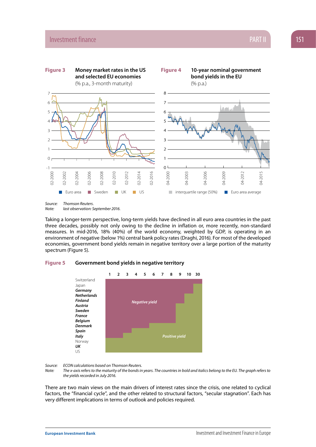### **Investment finance PART II** 151



Taking a longer-term perspective, long-term yields have declined in all euro area countries in the past three decades, possibly not only owing to the decline in inflation or, more recently, non-standard measures. In mid-2016, 18% (40%) of the world economy, weighted by GDP, is operating in an environment of negative (below 1%) central bank policy rates (Draghi, 2016). For most of the developed economies, government bond yields remain in negative territory over a large portion of the maturity spectrum (Figure 5).

#### **Figure 5 Government bond yields in negative territory**



*Source: ECON calculations based on Thomson Reuters.*

*Note: The x-axis refers to the maturity of the bonds in years. The countries in bold and italics belong to the EU. The graph refers to the yields recorded in July 2016.*

There are two main views on the main drivers of interest rates since the crisis, one related to cyclical factors, the "financial cycle", and the other related to structural factors, "secular stagnation". Each has very different implications in terms of outlook and policies required.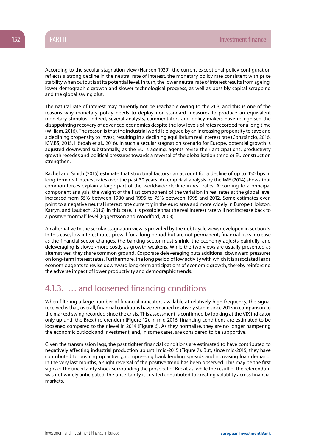According to the secular stagnation view (Hansen 1939), the current exceptional policy configuration reflects a strong decline in the neutral rate of interest, the monetary policy rate consistent with price stability when output is at its potential level. In turn, the lower neutral rate of interest results from ageing, lower demographic growth and slower technological progress, as well as possibly capital scrapping and the global saving glut.

The natural rate of interest may currently not be reachable owing to the ZLB, and this is one of the reasons why monetary policy needs to deploy non-standard measures to produce an equivalent monetary stimulus. Indeed, several analysts, commentators and policy makers have recognised the disappointing recovery of advanced economies despite the low levels of rates recorded for a long time (William, 2016). The reason is that the industrial world is plagued by an increasing propensity to save and a declining propensity to invest, resulting in a declining equilibrium real interest rate (Constâncio, 2016, ICMBS, 2015, Hördah et al., 2016). In such a secular stagnation scenario for Europe, potential growth is adjusted downward substantially, as the EU is ageing, agents revise their anticipations, productivity growth recedes and political pressures towards a reversal of the globalisation trend or EU construction strengthen.

Rachel and Smith (2015) estimate that structural factors can account for a decline of up to 450 bps in long-term real interest rates over the past 30 years. An empirical analysis by the IMF (2014) shows that common forces explain a large part of the worldwide decline in real rates. According to a principal component analysis, the weight of the first component of the variation in real rates at the global level increased from 55% between 1980 and 1995 to 75% between 1995 and 2012. Some estimates even point to a negative neutral interest rate currently in the euro area and more widely in Europe (Holston, Katryn, and Laubach, 2016). In this case, it is possible that the real interest rate will not increase back to a positive "normal" level (Eggertsson and Woodford, 2003).

An alternative to the secular stagnation view is provided by the debt cycle view, developed in section 3. In this case, low interest rates prevail for a long period but are not permanent, financial risks increase as the financial sector changes, the banking sector must shrink, the economy adjusts painfully, and deleveraging is slower/more costly as growth weakens. While the two views are usually presented as alternatives, they share common ground. Corporate deleveraging puts additional downward pressures on long-term interest rates. Furthermore, the long period of low activity with which it is associated leads economic agents to revise downward long-term anticipations of economic growth, thereby reinforcing the adverse impact of lower productivity and demographic trends.

# 4.1.3. … and loosened financing conditions

When filtering a large number of financial indicators available at relatively high frequency, the signal received is that, overall, financial conditions have remained relatively stable since 2015 in comparison to the marked swing recorded since the crisis. This assessment is confirmed by looking at the VIX indicator only up until the Brexit referendum (Figure 12). In mid-2016, financing conditions are estimated to be loosened compared to their level in 2014 (Figure 6). As they normalise, they are no longer hampering the economic outlook and investment, and, in some cases, are considered to be supportive.

Given the transmission lags, the past tighter financial conditions are estimated to have contributed to negatively affecting industrial production up until mid-2015 (Figure 7). But, since mid-2015, they have contributed to pushing up activity, compressing bank lending spreads and increasing loan demand. In the very last months, a slight reversal of the positive trend has been observed. This may be the first signs of the uncertainty shock surrounding the prospect of Brexit as, while the result of the referendum was not widely anticipated, the uncertainty it created contributed to creating volatility across financial markets.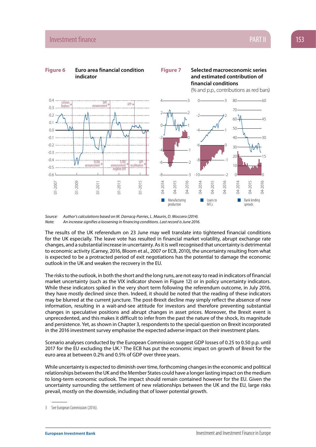#### **Investment finance** PART II 153



*Source: Author's calculations based on M. Darracq-Parries, L. Maurin, D. Moccero (2014). Note: An increase signifies a loosening in financing conditions. Last record is June 2016.*

The results of the UK referendum on 23 June may well translate into tightened financial conditions for the UK especially. The leave vote has resulted in financial market volatility, abrupt exchange rate changes, and a substantial increase in uncertainty. As it is well recognised that uncertainty is detrimental to economic activity (Carney, 2016, Bloom et al., 2007 or ECB, 2010), the uncertainty resulting from what is expected to be a protracted period of exit negotiations has the potential to damage the economic outlook in the UK and weaken the recovery in the EU.

The risks to the outlook, in both the short and the long runs, are not easy to read in indicators of financial market uncertainty (such as the VIX indicator shown in Figure 12) or in policy uncertainty indicators. While these indicators spiked in the very short term following the referendum outcome, in July 2016, they have mostly declined since then. Indeed, it should be noted that the reading of these indicators may be blurred at the current juncture. The post-Brexit decline may simply reflect the absence of new information, resulting in a wait-and-see attitude for investors and therefore preventing substantial changes in speculative positions and abrupt changes in asset prices. Moreover, the Brexit event is unprecedented, and this makes it difficult to infer from the past the nature of the shock, its magnitude and persistence. Yet, as shown in Chapter 3, respondents to the special question on Brexit incorporated in the 2016 investment survey emphasise the expected adverse impact on their investment plans.

Scenario analyses conducted by the European Commission suggest GDP losses of 0.25 to 0.50 p.p. until 2017 for the EU excluding the UK.<sup>3</sup> The ECB has put the economic impact on growth of Brexit for the euro area at between 0.2% and 0.5% of GDP over three years.

While uncertainty is expected to diminish over time, forthcoming changes in the economic and political relationships between the UK and the Member States could have a longer lasting impact on the medium to long-term economic outlook. The impact should remain contained however for the EU. Given the uncertainty surrounding the settlement of new relationships between the UK and the EU, large risks prevail, mostly on the downside, including that of lower potential growth.

<sup>3</sup> See European Commission (2016).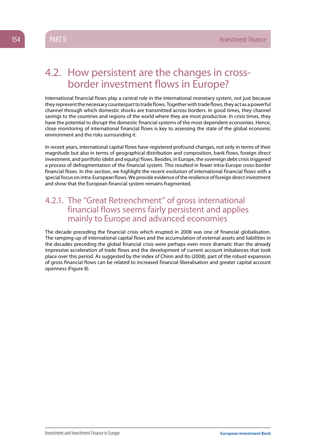# 4.2. How persistent are the changes in crossborder investment flows in Europe?

International financial flows play a central role in the international monetary system, not just because they represent the necessary counterpart to trade flows. Together with trade flows, they act as a powerful channel through which domestic shocks are transmitted across borders. In good times, they channel savings to the countries and regions of the world where they are most productive. In crisis times, they have the potential to disrupt the domestic financial systems of the most dependent economies. Hence, close monitoring of international financial flows is key to assessing the state of the global economic environment and the risks surrounding it.

In recent years, international capital flows have registered profound changes, not only in terms of their magnitude but also in terms of geographical distribution and composition, bank flows, foreign direct investment, and portfolio (debt and equity) flows. Besides, in Europe, the sovereign debt crisis triggered a process of defragmentation of the financial system. This resulted in fewer intra-Europe cross-border financial flows. In this section, we highlight the recent evolution of international financial flows with a special focus on intra-European flows. We provide evidence of the resilience of foreign direct investment and show that the European financial system remains fragmented.

### 4.2.1. The "Great Retrenchment" of gross international financial flows seems fairly persistent and applies mainly to Europe and advanced economies

The decade preceding the financial crisis which erupted in 2008 was one of financial globalisation. The ramping-up of international capital flows and the accumulation of external assets and liabilities in the decades preceding the global financial crisis were perhaps even more dramatic than the already impressive acceleration of trade flows and the development of current account imbalances that took place over this period. As suggested by the index of Chinn and Ito (2008), part of the robust expansion of gross financial flows can be related to increased financial liberalisation and greater capital account openness (Figure 8).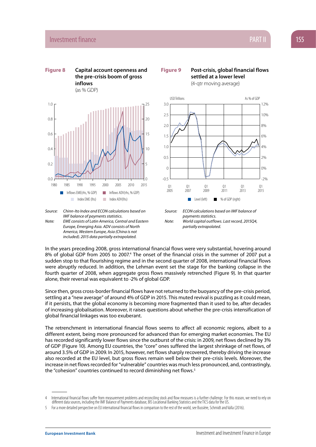### **Investment finance** PART II 155



In the years preceding 2008, gross international financial flows were very substantial, hovering around 8% of global GDP from 2005 to 2007.<sup>4</sup> The onset of the financial crisis in the summer of 2007 put a sudden stop to that flourishing regime and in the second quarter of 2008, international financial flows were abruptly reduced. In addition, the Lehman event set the stage for the banking collapse in the fourth quarter of 2008, when aggregate gross flows massively retrenched (Figure 9). In that quarter alone, their reversal was equivalent to -2% of global GDP.

*included). 2015 data partially extrapolated.*

Since then, gross cross-border financial flows have not returned to the buoyancy of the pre-crisis period, settling at a "new average" of around 4% of GDP in 2015. This muted revival is puzzling as it could mean, if it persists, that the global economy is becoming more fragmented than it used to be, after decades of increasing globalisation. Moreover, it raises questions about whether the pre-crisis intensification of global financial linkages was too exuberant.

The retrenchment in international financial flows seems to affect all economic regions, albeit to a different extent, being more pronounced for advanced than for emerging market economies. The EU has recorded significantly lower flows since the outburst of the crisis: in 2009, net flows declined by 3% of GDP (Figure 10). Among EU countries, the "core" ones suffered the largest shrinkage of net flows, of around 3.5% of GDP in 2009. In 2015, however, net flows sharply recovered, thereby driving the increase also recorded at the EU level, but gross flows remain well below their pre-crisis levels. Moreover, the increase in net flows recorded for "vulnerable" countries was much less pronounced, and, contrastingly, the "cohesion" countries continued to record diminishing net flows.<sup>5</sup>

<sup>4</sup> International financial flows suffer from measurement problems and reconciling stock and flow measures is a further challenge. For this reason, we need to rely on different data sources, including the IMF Balance of Payments database, BIS Locational Banking Statistics and the TICS data for the US.

<sup>5</sup> For a more detailed perspective on EU international financial flows in comparison to the rest of the world, see Bussière, Schmidt and Valla (2016).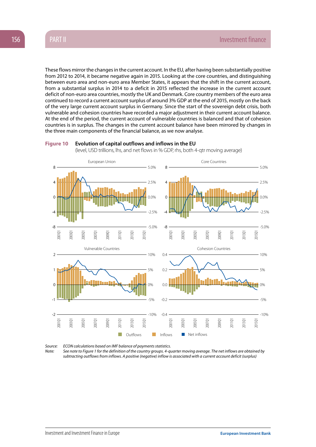These flows mirror the changes in the current account. In the EU, after having been substantially positive from 2012 to 2014, it became negative again in 2015. Looking at the core countries, and distinguishing between euro area and non-euro area Member States, it appears that the shift in the current account, from a substantial surplus in 2014 to a deficit in 2015 reflected the increase in the current account deficit of non-euro area countries, mostly the UK and Denmark. Core country members of the euro area continued to record a current account surplus of around 3% GDP at the end of 2015, mostly on the back of the very large current account surplus in Germany. Since the start of the sovereign debt crisis, both vulnerable and cohesion countries have recorded a major adjustment in their current account balance. At the end of the period, the current account of vulnerable countries is balanced and that of cohesion countries is in surplus. The changes in the current account balance have been mirrored by changes in the three main components of the financial balance, as we now analyse.

#### European Union Core Countries 5.0%  $-5.0%$ 8 8 2.5% 2.5% 4 4  $\Omega$  $0.006$  $\Omega$ 0.0% -2.5% -2.5% -4 -4 -5.0% -8 -5.0% -8 2015Q1 2011Q1 2011Q1 2013Q1 2001Q1 2003Q1 2015Q1 2001Q1 2003Q1 2005Q1 2007Q1  $2000$ 2005Q1 2007Q1 2009Q1 2013Q1 Vulnerable Countries Cohesion Countries 10% 0.4 10% 2 5% 0.2 5% 1  $\epsilon$  $0<sup>0</sup>$ 0% 0% -5%  $-0.2$ -5% -1 -10%  $-0.4$ -10% -2 2013Q1 2001Q1 2003Q1 2005Q1 2011Q1 2015Q1 2001Q1 2011Q1 2013Q1 2015Q1 2007Q1 2009Q1 2003Q1 2005Q1 2007Q1 2009Q1 F. Outflows **Inflows Net inflows**

#### **Figure 10 Evolution of capital outflows and inflows in the EU**

(level, USD trillions, lhs, and net flows in % GDP, rhs, both 4-qtr moving average)

*Source: ECON calculations based on IMF balance of payments statistics.*

*Note: See note to Figure 1 for the definition of the country groups. 4-quarter moving average. The net inflows are obtained by subtracting outflows from inflows. A positive (negative) inflow is associated with a current account deficit (surplus)*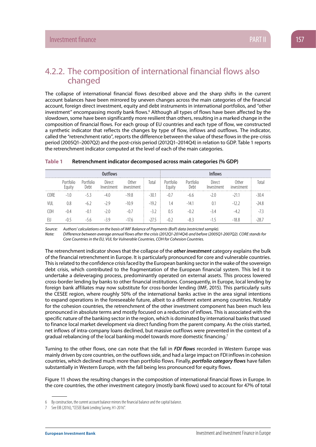# 4.2.2. The composition of international financial flows also changed

The collapse of international financial flows described above and the sharp shifts in the current account balances have been mirrored by uneven changes across the main categories of the financial account, foreign direct investment, equity and debt instruments in international portfolios, and "other investment" encompassing mostly bank flows.<sup>6</sup> Although all types of flows have been affected by the slowdown, some have been significantly more resilient than others, resulting in a marked change in the composition of financial flows. For each group of EU countries and each type of flow, we constructed a synthetic indicator that reflects the changes by type of flow, inflows and outflows. The indicator, called the "retrenchment ratio", reports the difference between the value of these flows in the pre-crisis period (2005Q1–2007Q2) and the post-crisis period (2012Q1–2014Q4) in relation to GDP. Table 1 reports the retrenchment indicator computed at the level of each of the main categories.

| <b>OWS</b> |     |              |                      |                     |         |       |              |                      |                      |      |
|------------|-----|--------------|----------------------|---------------------|---------|-------|--------------|----------------------|----------------------|------|
|            | aur | nlın<br>Debt | Direct<br>Investment | )ther<br>investment | otal    | TOIIO | olio<br>)ebt | Direct<br>Investment | ()ther<br>investment | otal |
|            |     | $-5$         |                      |                     | $-30.$  | - 1   |              |                      |                      |      |
| VUI        | 0.8 |              | Ξ.                   | $-10.9$             | $-19.2$ |       | $-14.$       |                      |                      |      |
| M⊦         |     | - 1          | Ξ.                   | $-11$               | -3.2    |       | $-()$        | $-5.4$               |                      | - 1  |
|            |     |              |                      |                     |         |       | -0           |                      |                      |      |

#### **Table 1 Retrenchment indicator decomposed across main categories (% GDP)**

*Source: Authors' calculations on the basis of IMF Balance of Payments (BoP) data (restricted sample).* 

*Note: Difference between average annual flows after the crisis (2012Q1-2014Q4) and before (2005Q1-2007Q2). CORE stands for Core Countries in the EU, VUL for Vulnerable Countries, COH for Cohesion Countries.*

The retrenchment indicator shows that the collapse of the *other investment* category explains the bulk of the financial retrenchment in Europe. It is particularly pronounced for core and vulnerable countries. This is related to the confidence crisis faced by the European banking sector in the wake of the sovereign debt crisis, which contributed to the fragmentation of the European financial system. This led it to undertake a deleveraging process, predominantly operated on external assets. This process lowered cross-border lending by banks to other financial institutions. Consequently, in Europe, local lending by foreign bank affiliates may now substitute for cross-border lending (IMF, 2015). This particularly suits the CESEE region, where roughly 50% of the international banks active in the area signal intentions to expand operations in the foreseeable future, albeit to a different extent among countries. Notably for the cohesion countries, the retrenchment of the other investment component has been much less pronounced in absolute terms and mostly focused on a reduction of inflows. This is associated with the specific nature of the banking sector in the region, which is dominated by international banks that used to finance local market development via direct funding from the parent company. As the crisis started, net inflows of intra-company loans declined, but massive outflows were prevented in the context of a gradual rebalancing of the local banking model towards more domestic financing.<sup>7</sup>

Turning to the other flows, one can note that the fall in *FDI flows* recorded in Western Europe was mainly driven by core countries, on the outflows side, and had a large impact on FDI inflows in cohesion countries, which declined much more than portfolio flows. Finally, *portfolio category flows* have fallen substantially in Western Europe, with the fall being less pronounced for equity flows.

Figure 11 shows the resulting changes in the composition of international financial flows in Europe. In the core countries, the other investment category (mostly bank flows) used to account for 47% of total

<sup>6</sup> By construction, the current account balance mirrors the financial balance and the capital balance.

See EIB (2016), "CESEE Bank Lending Survey, H1-2016".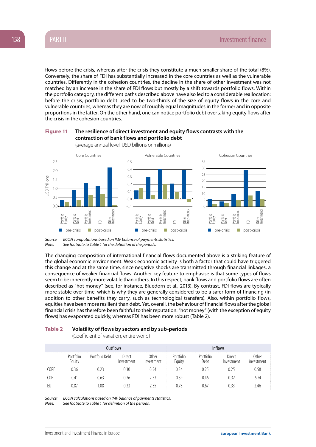flows before the crisis, whereas after the crisis they constitute a much smaller share of the total (8%). Conversely, the share of FDI has substantially increased in the core countries as well as the vulnerable countries. Differently in the cohesion countries, the decline in the share of other investment was not matched by an increase in the share of FDI flows but mostly by a shift towards portfolio flows. Within the portfolio category, the different paths described above have also led to a considerable reallocation: before the crisis, portfolio debt used to be two-thirds of the size of equity flows in the core and vulnerable countries, whereas they are now of roughly equal magnitudes in the former and in opposite proportions in the latter. On the other hand, one can notice portfolio debt overtaking equity flows after the crisis in the cohesion countries.

#### **Figure 11 The resilience of direct investment and equity flows contrasts with the contraction of bank flows and portfolio debt**



(average annual level, USD billions or millions)

The changing composition of international financial flows documented above is a striking feature of the global economic environment. Weak economic activity is both a factor that could have triggered this change and at the same time, since negative shocks are transmitted through financial linkages, a consequence of weaker financial flows. Another key feature to emphasise is that some types of flows seem to be inherently more volatile than others. In this respect, bank flows and portfolio flows are often described as "hot money" (see, for instance, Bluedorn et al., 2013). By contrast, FDI flows are typically more stable over time, which is why they are generally considered to be a safer form of financing (in addition to other benefits they carry, such as technological transfers). Also, within portfolio flows, equities have been more resilient than debt. Yet, overall, the behaviour of financial flows after the global financial crisis has therefore been faithful to their reputation: "hot money" (with the exception of equity flows) has evaporated quickly, whereas FDI has been more robust (Table 2).

#### **Table 2 Volatility of flows by sectors and by sub-periods**

(Coefficient of variation, entire world)

|       | `∩lır<br>auıt | Portfolio Debt | Direct<br>nvestment | )†her<br>investment |      | ttolio<br>)eht | lirect<br>Investment | .)ther<br>ivestment |  |
|-------|---------------|----------------|---------------------|---------------------|------|----------------|----------------------|---------------------|--|
| ∵ORF. | 1.36          |                |                     |                     |      |                |                      |                     |  |
| 'NH   | (1.4)         |                |                     |                     | - ku | ) 46           |                      | h /4                |  |
|       | 187           | ባደ             |                     | باجا                |      | Ih.            |                      |                     |  |

*Source: ECON calculations based on IMF balance of payments statistics. Note: See footnote to Table 1 for definition of the periods.*

*Source: ECON computations based on IMF balance of payments statistics. Note: See footnote to Table 1 for the definition of the periods.*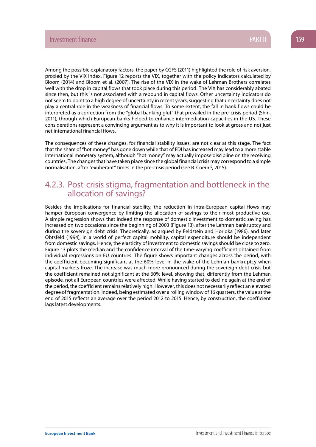Among the possible explanatory factors, the paper by CGFS (2011) highlighted the role of risk aversion, proxied by the VIX index. Figure 12 reports the VIX, together with the policy indicators calculated by Bloom (2014) and Bloom et al. (2007). The rise of the VIX in the wake of Lehman Brothers correlates well with the drop in capital flows that took place during this period. The VIX has considerably abated since then, but this is not associated with a rebound in capital flows. Other uncertainty indicators do not seem to point to a high degree of uncertainty in recent years, suggesting that uncertainty does not play a central role in the weakness of financial flows. To some extent, the fall in bank flows could be interpreted as a correction from the "global banking glut" that prevailed in the pre-crisis period (Shin, 2011), through which European banks helped to enhance intermediation capacities in the US. These considerations represent a convincing argument as to why it is important to look at gross and not just net international financial flows.

The consequences of these changes, for financial stability issues, are not clear at this stage. The fact that the share of "hot money" has gone down while that of FDI has increased may lead to a more stable international monetary system, although "hot money" may actually impose discipline on the receiving countries. The changes that have taken place since the global financial crisis may correspond to a simple normalisation, after "exuberant" times in the pre-crisis period (see B. Coeuré, 2015).

### 4.2.3. Post-crisis stigma, fragmentation and bottleneck in the allocation of savings?

Besides the implications for financial stability, the reduction in intra-European capital flows may hamper European convergence by limiting the allocation of savings to their most productive use. A simple regression shows that indeed the response of domestic investment to domestic saving has increased on two occasions since the beginning of 2003 (Figure 13), after the Lehman bankruptcy and during the sovereign debt crisis. Theoretically, as argued by Feldstein and Horioka (1986), and later Obtsfeld (1994), in a world of perfect capital mobility, capital expenditure should be independent from domestic savings. Hence, the elasticity of investment to domestic savings should be close to zero. Figure 13 plots the median and the confidence interval of the time-varying coefficient obtained from individual regressions on EU countries. The figure shows important changes across the period, with the coefficient becoming significant at the 60% level in the wake of the Lehman bankruptcy when capital markets froze. The increase was much more pronounced during the sovereign debt crisis but the coefficient remained not significant at the 60% level, showing that, differently from the Lehman episode, not all European countries were affected. While having started to decline again at the end of the period, the coefficient remains relatively high. However, this does not necessarily reflect an elevated degree of fragmentation. Indeed, being estimated over a rolling window of 16 quarters, the value at the end of 2015 reflects an average over the period 2012 to 2015. Hence, by construction, the coefficient lags latest developments.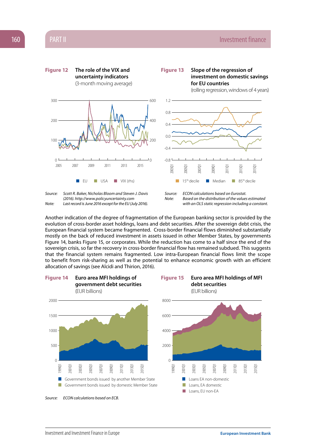



Another indication of the degree of fragmentation of the European banking sector is provided by the evolution of cross-border asset holdings, loans and debt securities. After the sovereign debt crisis, the European financial system became fragmented. Cross-border financial flows diminished substantially mostly on the back of reduced investment in assets issued in other Member States, by governments Figure 14, banks Figure 15, or corporates. While the reduction has come to a half since the end of the sovereign crisis, so far the recovery in cross-border financial flow has remained subdued. This suggests that the financial system remains fragmented. Low intra-European financial flows limit the scope to benefit from risk-sharing as well as the potential to enhance economic growth with an efficient allocation of savings (see Alcidi and Thirion, 2016).

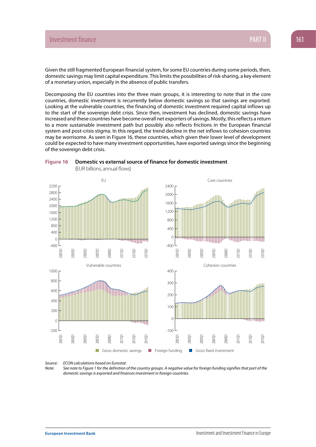Given the still fragmented European financial system, for some EU countries during some periods, then, domestic savings may limit capital expenditure. This limits the possibilities of risk-sharing, a key element of a monetary union, especially in the absence of public transfers.

Decomposing the EU countries into the three main groups, it is interesting to note that in the core countries, domestic investment is recurrently below domestic savings so that savings are exported. Looking at the vulnerable countries, the financing of domestic investment required capital inflows up to the start of the sovereign debt crisis. Since then, investment has declined, domestic savings have increased and these countries have become overall net exporters of savings. Mostly, this reflects a return to a more sustainable investment path but possibly also reflects frictions in the European financial system and post-crisis stigma. In this regard, the trend decline in the net inflows to cohesion countries may be worrisome. As seen in Figure 16, these countries, which given their lower level of development could be expected to have many investment opportunities, have exported savings since the beginning of the sovereign debt crisis.



#### **Figure 16 Domestic vs external source of finance for domestic investment** (EUR billions, annual flows)

*Source: ECON calculations based on Eurostat.*

*Note: See note to Figure 1 for the definition of the country groups. A negative value for foreign funding signifies that part of the domestic savings is exported and finances investment in foreign countries.*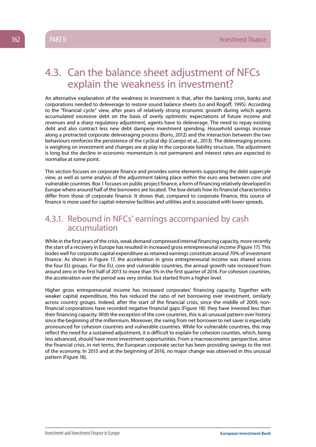# 4.3. Can the balance sheet adjustment of NFCs explain the weakness in investment?

An alternative explanation of the weakness in investment is that, after the banking crisis, banks and corporations needed to deleverage to restore sound balance sheets (Lo and Rogoff, 1995). According to the "financial cycle" view, after years of relatively strong economic growth during which agents accumulated excessive debt on the basis of overly optimistic expectations of future income and revenues and a sharp regulatory adjustment, agents have to deleverage. The need to repay existing debt and also contract less new debt dampens investment spending. Household savings increase along a protracted corporate deleveraging process (Borio, 2012) and the interaction between the two behaviours reinforces the persistence of the cyclical dip (Cuerpo et al., 2013). The deleveraging process is weighing on investment and changes are at play in the corporate liability structure. The adjustment is long but the decline in economic momentum is not permanent and interest rates are expected to normalise at some point.

This section focuses on corporate finance and provides some elements supporting the debt supercyle view, as well as some analysis of the adjustment taking place within the euro area between core and vulnerable countries. Box 1 focuses on public project finance, a form of financing relatively developed in Europe where around half of the borrowers are located. The box details how its financial characteristics differ from those of corporate finance. It shows that, compared to corporate finance, this source of finance is more used for capital-intensive facilities and utilities and is associated with lower spreads.

# 4.3.1. Rebound in NFCs' earnings accompanied by cash accumulation

While in the first years of the crisis, weak demand compressed internal financing capacity, more recently the start of a recovery in Europe has resulted in increased gross entrepreneurial income (Figure 17). This bodes well for corporate capital expenditure as retained earnings constitute around 70% of investment finance. As shown in Figure 17, the acceleration in gross entrepreneurial income was shared across the four EU groups. For the EU, core and vulnerable countries, the annual growth rate increased from around zero in the first half of 2013 to more than 5% in the first quarter of 2016. For cohesion countries, the acceleration over the period was very similar, but started from a higher level.

Higher gross entrepreneurial income has increased corporates' financing capacity. Together with weaker capital expenditure, this has reduced the ratio of net borrowing over investment, similarly across country groups. Indeed, after the start of the financial crisis, since the middle of 2009, nonfinancial corporations have recorded negative financial gaps (Figure 18): they have invested less than their financing capacity. With the exception of the core countries, this is an unusual pattern over history since the beginning of the millennium. Moreover, the swing from net borrower to net saver is especially pronounced for cohesion countries and vulnerable countries. While for vulnerable countries, this may reflect the need for a sustained adjustment, it is difficult to explain for cohesion counties, which, being less advanced, should have more investment opportunities. From a macroeconomic perspective, since the financial crisis, in net terms, the European corporate sector has been providing savings to the rest of the economy. In 2015 and at the beginning of 2016, no major change was observed in this unusual pattern (Figure 18).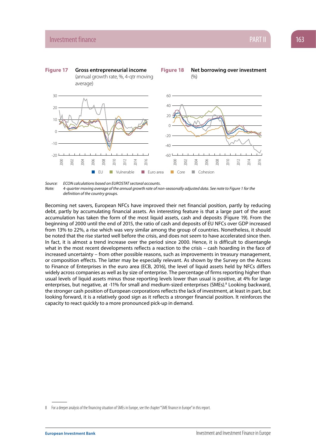

*Source: ECON calculations based on EUROSTAT sectoral accounts. Note: 4-quarter moving average of the annual growth rate of non-seasonally adjusted data. See note to Figure 1 for the definition of the country groups.*

Becoming net savers, European NFCs have improved their net financial position, partly by reducing debt, partly by accumulating financial assets. An interesting feature is that a large part of the asset accumulation has taken the form of the most liquid assets, cash and deposits (Figure 19). From the beginning of 2000 until the end of 2015, the ratio of cash and deposits of EU NFCs over GDP increased from 13% to 22%, a rise which was very similar among the group of countries. Nonetheless, it should be noted that the rise started well before the crisis, and does not seem to have accelerated since then. In fact, it is almost a trend increase over the period since 2000. Hence, it is difficult to disentangle what in the most recent developments reflects a reaction to the crisis – cash hoarding in the face of increased uncertainty – from other possible reasons, such as improvements in treasury management, or composition effects. The latter may be especially relevant. As shown by the Survey on the Access to Finance of Enterprises in the euro area (ECB, 2016), the level of liquid assets held by NFCs differs widely across companies as well as by size of enterprise. The percentage of firms reporting higher than usual levels of liquid assets minus those reporting levels lower than usual is positive, at 4% for large enterprises, but negative, at -11% for small and medium-sized enterprises (SMEs).<sup>8</sup> Looking backward, the stronger cash position of European corporations reflects the lack of investment, at least in part, but looking forward, it is a relatively good sign as it reflects a stronger financial position. It reinforces the capacity to react quickly to a more pronounced pick-up in demand.

<sup>8</sup> For a deeper analysis of the financing situation of SMEs in Europe, see the chapter "SME finance in Europe" in this report.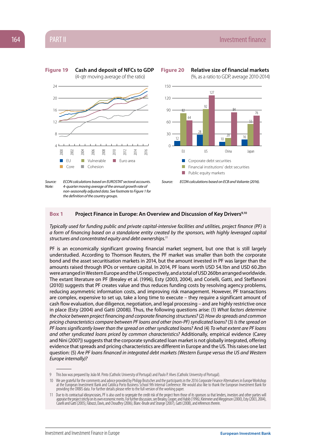

#### **Box 1** Project Finance in Europe: An Overview and Discussion of Key Drivers<sup>9,10</sup>

*Typically used for funding public and private capital-intensive facilities and utilities, project finance (PF) is a form of financing based on a standalone entity created by the sponsors, with highly leveraged capital structures and concentrated equity and debt ownerships.11*

PF is an economically significant growing financial market segment, but one that is still largely understudied. According to Thomson Reuters, the PF market was smaller than both the corporate bond and the asset securitisation markets in 2014, but the amount invested in PF was larger than the amounts raised through IPOs or venture capital. In 2014, PF loans worth USD 54.1bn and USD 60.2bn were arranged in Western Europe and the US respectively, and a total of USD 260bn arranged worldwide. The extant literature on PF (Brealey et al. (1996), Esty (2003, 2004), and Corielli, Gatti, and Steffanoni (2010)) suggests that PF creates value and thus reduces funding costs by resolving agency problems, reducing asymmetric information costs, and improving risk management. However, PF transactions are complex, expensive to set up, take a long time to execute – they require a significant amount of cash flow evaluation, due diligence, negotiation, and legal processing – and are highly restrictive once in place (Esty (2004) and Gatti (2008)). Thus, the following questions arise: (1) *What factors determine the choice between project financing and corporate financing structures?* (2) *How do spreads and common pricing characteristics compare between PF loans and other (non-PF) syndicated loans?* (3) *Is the spread on PF loans significantly lower than the spread on other syndicated loans?* And (4) *To what extent are PF loans and other syndicated loans priced by common characteristics?* Additionally, empirical evidence (Carey and Nini (2007)) suggests that the corporate syndicated loan market is not globally integrated, offering evidence that spreads and pricing characteristics are different in Europe and the US. This raises one last question: (5) *Are PF loans financed in integrated debt markets (Western Europe versus the US and Western Europe internally)?*

<sup>9</sup> This box was prepared by João M. Pinto (Catholic University of Portugal) and Paulo P. Alves (Catholic University of Portugal).

<sup>10</sup> We are grateful for the comments and advice provided by Philipp Brutscher and the participants in the 2016 Corporate Finance Alternatives in Europe Workshop at the European Investment Bank and Católica Porto Business School 9th Internal Conference. We would also like to thank the European Investment Bank for providing the ORBIS data. For further details please refer to the full version of the working paper.

<sup>11</sup> Due to its contractual idiosyncrasies, PF is also used to segregate the credit risk of the project from those of its sponsors so that lenders, investors and other parties will appraise the project strictly on its own economic merits. For further discussion, see Brealey, Cooper, and Habib (1996), Kleimeier and Megginson (2000), Esty (2003, 2004), Caselli and Gatti (2005), Fabozzi, Davis, and Choudhry (2006), Blanc-Brude and Strange (2007), Gatti (2008), and references therein.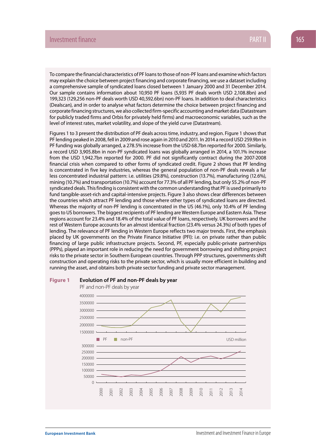To compare the financial characteristics of PF loans to those of non-PF loans and examine which factors may explain the choice between project financing and corporate financing, we use a dataset including a comprehensive sample of syndicated loans closed between 1 January 2000 and 31 December 2014. Our sample contains information about 10,950 PF loans (5,935 PF deals worth USD 2,108.8bn) and 199,323 (129,256 non-PF deals worth USD 40,592.6bn) non-PF loans. In addition to deal characteristics (Dealscan), and in order to analyse what factors determine the choice between project financing and corporate financing structures, we also collected firm-specific accounting and market data (Datastream

for publicly traded firms and Orbis for privately held firms) and macroeconomic variables, such as the

level of interest rates, market volatility, and slope of the yield curve (Datastream).

Figures 1 to 3 present the distribution of PF deals across time, industry, and region. Figure 1 shows that PF lending peaked in 2008, fell in 2009 and rose again in 2010 and 2011. In 2014 a record USD 259.9bn in PF funding was globally arranged, a 278.5% increase from the USD 68.7bn reported for 2000. Similarly, a record USD 3,905.8bn in non-PF syndicated loans was globally arranged in 2014, a 101.1% increase from the USD 1,942.7bn reported for 2000. PF did not significantly contract during the 2007-2008 financial crisis when compared to other forms of syndicated credit. Figure 2 shows that PF lending is concentrated in five key industries, whereas the general population of non-PF deals reveals a far less concentrated industrial pattern: i.e. utilities (29.8%), construction (13.7%), manufacturing (12.6%), mining (10.7%) and transportation (10.7%) account for 77.3% of all PF lending, but only 55.2% of non-PF syndicated deals. This finding is consistent with the common understanding that PF is used primarily to fund tangible-asset-rich and capital-intensive projects. Figure 3 also shows clear differences between the countries which attract PF lending and those where other types of syndicated loans are directed. Whereas the majority of non-PF lending is concentrated in the US (46.1%), only 10.4% of PF lending goes to US borrowers. The biggest recipients of PF lending are Western Europe and Eastern Asia. These regions account for 23.4% and 18.4% of the total value of PF loans, respectively. UK borrowers and the rest of Western Europe accounts for an almost identical fraction (23.4% versus 24.3%) of both types of lending. The relevance of PF lending in Western Europe reflects two major trends. First, the emphasis placed by UK governments on the Private Finance Initiative (PFI): i.e. on private rather than public financing of large public infrastructure projects. Second, PF, especially public-private partnerships (PPPs), played an important role in reducing the need for government borrowing and shifting project risks to the private sector in Southern European countries. Through PPP structures, governments shift construction and operating risks to the private sector, which is usually more efficient in building and running the asset, and obtains both private sector funding and private sector management.

#### PF and non-PF deals by year PF non-PF 2000 2001 2002 2003 2004 2005 2006 2007 2008 2009  $\overline{20}$ 2011 2012 2013  $\overline{Q}$  $\Omega$ 50000 100000 150000 200000 250000  $300000 1500000 -$ 2000000 2500000 3000000 3500000 4000000 USD million

#### **Figure 1 Evolution of PF and non-PF deals by year**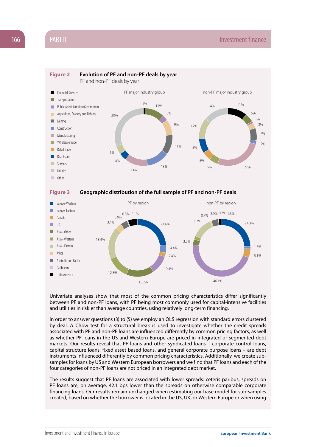

#### **Figure 3 Geographic distribution of the full sample of PF and non-PF deals**



Univariate analyses show that most of the common pricing characteristics differ significantly between PF and non-PF loans, with PF being most commonly used for capital-intensive facilities and utilities in riskier than average countries, using relatively long-term financing.

In order to answer questions (3) to (5) we employ an OLS regression with standard errors clustered by deal. A Chow test for a structural break is used to investigate whether the credit spreads associated with PF and non-PF loans are influenced differently by common pricing factors, as well as whether PF loans in the US and Western Europe are priced in integrated or segmented debt markets. Our results reveal that PF loans and other syndicated loans – corporate control loans, capital structure loans, fixed asset based loans, and general corporate purpose loans – are debt instruments influenced differently by common pricing characteristics. Additionally, we create subsamples for loans by US and Western European borrowers and we find that PF loans and each of the four categories of non-PF loans are not priced in an integrated debt market.

The results suggest that PF loans are associated with lower spreads: ceteris paribus, spreads on PF loans are, on average, 42.1 bps lower than the spreads on otherwise comparable corporate financing loans. Our results remain unchanged when estimating our base model for sub-samples created, based on whether the borrower is located in the US, UK, or Western Europe or when using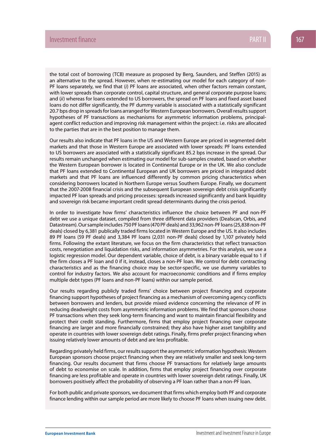the total cost of borrowing (TCB) measure as proposed by Berg, Saunders, and Steffen (2015) as an alternative to the spread. However, when re-estimating our model for each category of non-PF loans separately, we find that (*i*) PF loans are associated, when other factors remain constant, with lower spreads than corporate control, capital structure, and general corporate purpose loans; and (*ii*) whereas for loans extended to US borrowers, the spread on PF loans and fixed asset based loans do not differ significantly, the PF dummy variable is associated with a statistically significant 20.7 bps drop in spreads for loans arranged for Western European borrowers. Overall results support hypotheses of PF transactions as mechanisms for asymmetric information problems, principalagent conflict reduction and improving risk management within the project: i.e. risks are allocated to the parties that are in the best position to manage them.

Our results also indicate that PF loans in the US and Western Europe are priced in segmented debt markets and that those in Western Europe are associated with lower spreads: PF loans extended to US borrowers are associated with a statistically significant 85.2 bps increase in the spread. Our results remain unchanged when estimating our model for sub-samples created, based on whether the Western European borrower is located in Continental Europe or in the UK. We also conclude that PF loans extended to Continental European and UK borrowers are priced in integrated debt markets and that PF loans are influenced differently by common pricing characteristics when considering borrowers located in Northern Europe versus Southern Europe. Finally, we document that the 2007-2008 financial crisis and the subsequent European sovereign debt crisis significantly impacted PF loan spreads and pricing processes: spreads increased significantly and bank liquidity and sovereign risk became important credit spread determinants during the crisis period.

In order to investigate how firms' characteristics influence the choice between PF and non-PF debt we use a unique dataset, compiled from three different data providers (Dealscan, Orbis, and Datastream). Our sample includes 750 PF loans (470 PF deals) and 33,962 non-PF loans (25,838 non-PF deals) closed by 6,381 publically traded firms located in Western Europe and the US. It also includes 89 PF loans (59 PF deals) and 3,384 PF loans (2,031 non-PF deals) closed by 1,107 privately held firms. Following the extant literature, we focus on the firm characteristics that reflect transaction costs, renegotiation and liquidation risks, and information asymmetries. For this analysis, we use a logistic regression model. Our dependent variable, choice of debt, is a binary variable equal to 1 if the firm closes a PF loan and 0 if it, instead, closes a non-PF loan. We control for debt contracting characteristics and as the financing choice may be sector-specific, we use dummy variables to control for industry factors. We also account for macroeconomic conditions and if firms employ multiple debt types (PF loans and non-PF loans) within our sample period.

Our results regarding publicly traded firms' choice between project financing and corporate financing support hypotheses of project financing as a mechanism of overcoming agency conflicts between borrowers and lenders, but provide mixed evidence concerning the relevance of PF in reducing deadweight costs from asymmetric information problems. We find that sponsors choose PF transactions when they seek long-term financing and want to maintain financial flexibility and protect their credit standing. Furthermore, firms that employ project financing over corporate financing are larger and more financially constrained; they also have higher asset tangibility and operate in countries with lower sovereign debt ratings. Finally, firms prefer project financing when issuing relatively lower amounts of debt and are less profitable.

Regarding privately held firms, our results support the asymmetric information hypothesis: Western European sponsors choose project financing when they are relatively smaller and seek long-term financing. Our results document that firms choose PF transactions for relatively large amounts of debt to economise on scale. In addition, firms that employ project financing over corporate financing are less profitable and operate in countries with lower sovereign debt ratings. Finally, UK borrowers positively affect the probability of observing a PF loan rather than a non-PF loan.

For both public and private sponsors, we document that firms which employ both PF and corporate finance lending within our sample period are more likely to choose PF loans when issuing new debt.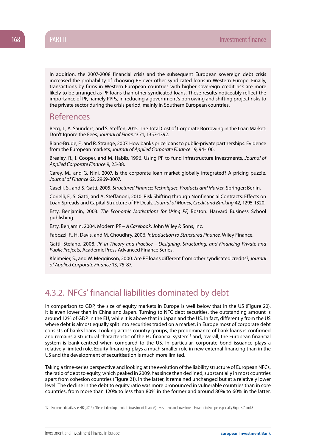In addition, the 2007-2008 financial crisis and the subsequent European sovereign debt crisis increased the probability of choosing PF over other syndicated loans in Western Europe. Finally, transactions by firms in Western European countries with higher sovereign credit risk are more likely to be arranged as PF loans than other syndicated loans. These results noticeably reflect the importance of PF, namely PPPs, in reducing a government's borrowing and shifting project risks to the private sector during the crisis period, mainly in Southern European countries.

### References

Berg, T., A. Saunders, and S. Steffen, 2015. The Total Cost of Corporate Borrowing in the Loan Market: Don't Ignore the Fees, *Journal of Finance* 71, 1357-1392.

Blanc-Brude, F., and R. Strange, 2007. How banks price loans to public-private partnerships: Evidence from the European markets, *Journal of Applied Corporate Finance* 19, 94-106.

Brealey, R., I. Cooper, and M. Habib, 1996. Using PF to fund infrastructure investments, *Journal of Applied Corporate Finance* 9, 25-38.

Carey, M., and G. Nini, 2007. Is the corporate loan market globally integrated? A pricing puzzle, *Journal of Finance* 62, 2969-3007.

Caselli, S., and S. Gatti, 2005. *Structured Finance: Techniques, Products and Market*, Springer: Berlin.

Corielli, F., S. Gatti, and A. Steffanoni, 2010. Risk Shifting through Nonfinancial Contracts: Effects on Loan Spreads and Capital Structure of PF Deals, *Journal of Money, Credit and Banking* 42, 1295-1320.

Esty, Benjamin, 2003. *The Economic Motivations for Using PF*, Boston: Harvard Business School publishing.

Esty, Benjamin, 2004. Modern PF – *A Casebook*, John Wiley & Sons, Inc.

Fabozzi, F., H. Davis, and M. Choudhry, 2006. *Introduction to Structured Finance*, Wiley Finance.

Gatti, Stefano, 2008. *PF in Theory and Practice – Designing, Structuring, and Financing Private and Public Projects*, Academic Press Advanced Finance Series.

Kleimeier, S., and W. Megginson, 2000. Are PF loans different from other syndicated credits?, *Journal of Applied Corporate Finance* 13, 75-87.

# 4.3.2. NFCs' financial liabilities dominated by debt

In comparison to GDP, the size of equity markets in Europe is well below that in the US (Figure 20). It is even lower than in China and Japan. Turning to NFC debt securities, the outstanding amount is around 12% of GDP in the EU, while it is above that in Japan and the US. In fact, differently from the US where debt is almost equally split into securities traded on a market, in Europe most of corporate debt consists of banks loans. Looking across country groups, the predominance of bank loans is confirmed and remains a structural characteristic of the EU financial system<sup>12</sup> and, overall, the European financial system is bank-centred when compared to the US. In particular, corporate bond issuance plays a relatively limited role. Equity financing plays a much smaller role in new external financing than in the US and the development of securitisation is much more limited.

Taking a time-series perspective and looking at the evolution of the liability structure of European NFCs, the ratio of debt to equity, which peaked in 2009, has since then declined, substantially in most countries apart from cohesion countries (Figure 21). In the latter, it remained unchanged but at a relatively lower level. The decline in the debt to equity ratio was more pronounced in vulnerable countries than in core countries, from more than 120% to less than 80% in the former and around 80% to 60% in the latter.

<sup>12</sup> For more details, see EIB (2015), "Recent developments in investment finance", Investment and Investment Finance in Europe, especially Figures 7 and 8.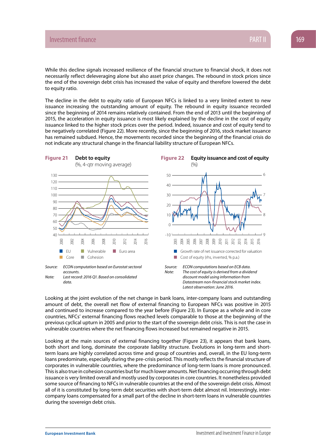While this decline signals increased resilience of the financial structure to financial shock, it does not necessarily reflect deleveraging alone but also asset price changes. The rebound in stock prices since the end of the sovereign debt crisis has increased the value of equity and therefore lowered the debt to equity ratio.

The decline in the debt to equity ratio of European NFCs is linked to a very limited extent to new issuance increasing the outstanding amount of equity. The rebound in equity issuance recorded since the beginning of 2014 remains relatively contained. From the end of 2013 until the beginning of 2015, the acceleration in equity issuance is most likely explained by the decline in the cost of equity issuance linked to the higher stock prices over the period. Indeed, issuance and cost of equity tend to be negatively correlated (Figure 22). More recently, since the beginning of 2016, stock market issuance has remained subdued. Hence, the movements recorded since the beginning of the financial crisis do not indicate any structural change in the financial liability structure of European NFCs.



Looking at the joint evolution of the net change in bank loans, inter-company loans and outstanding amount of debt, the overall net flow of external financing to European NFCs was positive in 2015 and continued to increase compared to the year before (Figure 23). In Europe as a whole and in core countries, NFCs' external financing flows reached levels comparable to those at the beginning of the previous cyclical upturn in 2005 and prior to the start of the sovereign debt crisis. This is not the case in vulnerable countries where the net financing flows increased but remained negative in 2015.

Looking at the main sources of external financing together (Figure 23), it appears that bank loans, both short and long, dominate the corporate liability structure. Evolutions in long-term and shortterm loans are highly correlated across time and group of countries and, overall, in the EU long-term loans predominate, especially during the pre-crisis period. This mostly reflects the financial structure of corporates in vulnerable countries, where the predominance of long-term loans is more pronounced. This is also true in cohesion countries but for much lower amounts. Net financing occurring through debt issuance is very limited overall and mostly used by corporates in core countries. It nonetheless provided some source of financing to NFCs in vulnerable countries at the end of the sovereign debt crisis. Almost all of it is constituted by long-term debt securities with short-term debt almost nil. Interestingly, intercompany loans compensated for a small part of the decline in short-term loans in vulnerable countries during the sovereign debt crisis.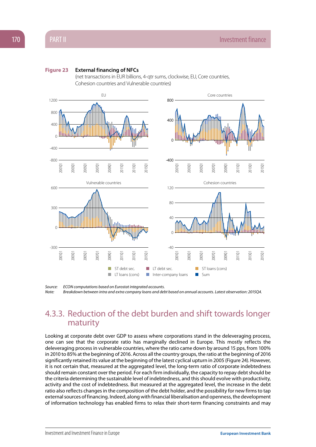#### EU Core countries 1200 800 800 400  $400$  $\epsilon$  $\mathbf 0$  $-400$ -800  $-400$ 2015Q1 2011Q1 2015Q1 2001Q1 2003Q1 2007Q1 2011Q1 2013Q1 2001Q1 2003Q1 2005Q1 2013Q1 2005Q1 2009Q1 2007Q1 2009Q1 Vulnerable countries **Cohesion** Cohesion countries 600 120  $80$ 300 40  $\overline{0}$  $\mathcal{C}_{\mathcal{C}}$ -300  $-40$ 2015Q1 2003Q1 2013Q1 2015Q1 2001Q1 2003Q1 2007Q1 2009Q1 2011Q1 2013Q1 2001Q1 2011Q1 2005Q1 2005Q1 2009Q1 2007Q1 П ST debt sec.  $\blacksquare$  LT debt sec.  $\blacksquare$  ST loans (cons) П LT loans (cons)  $\Box$  Inter-company loans  $\Box$  Sum

#### **Figure 23 External financing of NFCs**

(net transactions in EUR billions, 4-qtr sums, clockwise, EU, Core countries, Cohesion countries and Vulnerable countries)

*Source: ECON computations based on Eurostat integrated accounts. Note: Breakdown between intra and extra company loans and debt based on annual accounts. Latest observation: 2015Q4.*

# 4.3.3. Reduction of the debt burden and shift towards longer maturity

Looking at corporate debt over GDP to assess where corporations stand in the deleveraging process, one can see that the corporate ratio has marginally declined in Europe. This mostly reflects the deleveraging process in vulnerable countries, where the ratio came down by around 15 pps, from 100% in 2010 to 85% at the beginning of 2016. Across all the country groups, the ratio at the beginning of 2016 significantly retained its value at the beginning of the latest cyclical upturn in 2005 (Figure 24). However, it is not certain that, measured at the aggregated level, the long-term ratio of corporate indebtedness should remain constant over the period. For each firm individually, the capacity to repay debt should be the criteria determining the sustainable level of indebtedness, and this should evolve with productivity, activity and the cost of indebtedness. But measured at the aggregated level, the increase in the debt ratio also reflects changes in the composition of the debt holder, and the possibility for new firms to tap external sources of financing. Indeed, along with financial liberalisation and openness, the development of information technology has enabled firms to relax their short-term financing constraints and may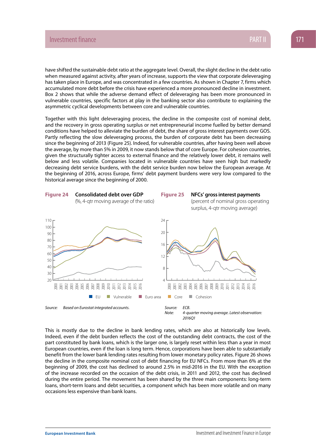have shifted the sustainable debt ratio at the aggregate level. Overall, the slight decline in the debt ratio when measured against activity, after years of increase, supports the view that corporate deleveraging has taken place in Europe, and was concentrated in a few countries. As shown in Chapter 7, firms which accumulated more debt before the crisis have experienced a more pronounced decline in investment. Box 2 shows that while the adverse demand effect of deleveraging has been more pronounced in vulnerable countries, specific factors at play in the banking sector also contribute to explaining the asymmetric cyclical developments between core and vulnerable countries.

Together with this light deleveraging process, the decline in the composite cost of nominal debt, and the recovery in gross operating surplus or net entrepreneurial income fuelled by better demand conditions have helped to alleviate the burden of debt, the share of gross interest payments over GOS. Partly reflecting the slow deleveraging process, the burden of corporate debt has been decreasing since the beginning of 2013 (Figure 25). Indeed, for vulnerable countries, after having been well above the average, by more than 5% in 2009, it now stands below that of core Europe. For cohesion countries, given the structurally tighter access to external finance and the relatively lower debt, it remains well below and less volatile. Companies located in vulnerable countries have seen high but markedly decreasing debt service burdens, with the debt service burden now below the European average. At the beginning of 2016, across Europe, firms' debt payment burdens were very low compared to the historical average since the beginning of 2000.



This is mostly due to the decline in bank lending rates, which are also at historically low levels. Indeed, even if the debt burden reflects the cost of the outstanding debt contracts, the cost of the part constituted by bank loans, which is the larger one, is largely reset within less than a year in most European countries, even if the loan is long term. Hence, corporations have been able to substantially benefit from the lower bank lending rates resulting from lower monetary policy rates. Figure 26 shows the decline in the composite nominal cost of debt financing for EU NFCs. From more than 6% at the beginning of 2009, the cost has declined to around 2.5% in mid-2016 in the EU. With the exception of the increase recorded on the occasion of the debt crisis, in 2011 and 2012, the cost has declined during the entire period. The movement has been shared by the three main components: long-term loans, short-term loans and debt securities, a component which has been more volatile and on many occasions less expensive than bank loans.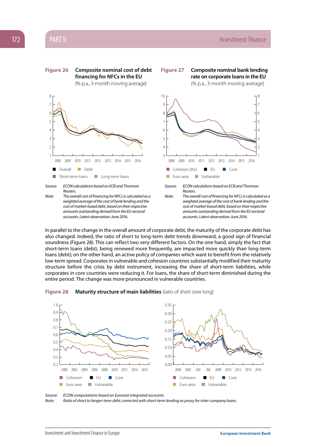

In parallel to the change in the overall amount of corporate debt, the maturity of the corporate debt has also changed. Indeed, the ratio of short to long-term debt trends downward, a good sign of financial soundness (Figure 28). This can reflect two very different factors. On the one hand, simply the fact that short-term loans (debt), being renewed more frequently, are impacted more quickly than long-term loans (debt); on the other hand, an active policy of companies which want to benefit from the relatively low-term spread. Corporates in vulnerable and cohesion countries substantially modified their maturity structure before the crisis by debt instrument, increasing the share of short-term liabilities, while corporates in core countries were reducing it. For loans, the share of short-term diminished during the entire period. The change was more pronounced in vulnerable countries.

**Figure 28** Maturity structure of main liabilities (ratio of short over long)



#### *Source: ECON computations based on Eurostat integrated accounts. Note: Ratio of short to longer-term debt; corrected with short-term lending as proxy for inter-company loans.*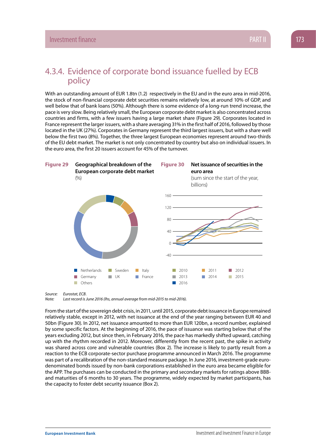# 4.3.4. Evidence of corporate bond issuance fuelled by ECB policy

With an outstanding amount of EUR 1.8tn (1.2) respectively in the EU and in the euro area in mid-2016, the stock of non-financial corporate debt securities remains relatively low, at around 10% of GDP, and well below that of bank loans (50%). Although there is some evidence of a long-run trend increase, the pace is very slow. Being relatively small, the European corporate debt market is also concentrated across countries and firms, with a few issuers having a large market share (Figure 29). Corporates located in France represent the larger issuers, with a share averaging 31% in the first half of 2016, followed by those located in the UK (27%). Corporates in Germany represent the third largest issuers, but with a share well below the first two (8%). Together, the three largest European economies represent around two-thirds of the EU debt market. The market is not only concentrated by country but also on individual issuers. In the euro area, the first 20 issuers account for 45% of the turnover.



*Source: Eurostat, ECB.* 

*Note: Last record is June 2016 (lhs, annual average from mid-2015 to mid-2016).* 

From the start of the sovereign debt crisis, in 2011, until 2015, corporate debt issuance in Europe remained relatively stable, except in 2012, with net issuance at the end of the year ranging between EUR 40 and 50bn (Figure 30). In 2012, net issuance amounted to more than EUR 120bn, a record number, explained by some specific factors. At the beginning of 2016, the pace of issuance was starting below that of the years excluding 2012, but since then, in February 2016, the pace has markedly shifted upward, catching up with the rhythm recorded in 2012. Moreover, differently from the recent past, the spike in activity was shared across core and vulnerable countries (Box 2). The increase is likely to partly result from a reaction to the ECB corporate-sector purchase programme announced in March 2016. The programme was part of a recalibration of the non-standard measure package. In June 2016, investment-grade eurodenominated bonds issued by non-bank corporations established in the euro area became eligible for the APP. The purchases can be conducted in the primary and secondary markets for ratings above BBBand maturities of 6 months to 30 years. The programme, widely expected by market participants, has the capacity to foster debt security issuance (Box 2).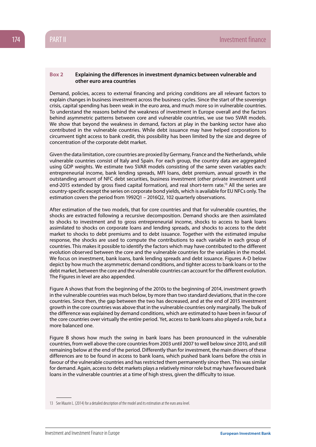#### **Box 2 Explaining the differences in investment dynamics between vulnerable and other euro area countries**

Demand, policies, access to external financing and pricing conditions are all relevant factors to explain changes in business investment across the business cycles. Since the start of the sovereign crisis, capital spending has been weak in the euro area, and much more so in vulnerable countries. To understand the reasons behind the weakness of investment in Europe overall and the factors behind asymmetric patterns between core and vulnerable countries, we use two SVAR models. We show that beyond the weakness in demand, factors at play in the banking sector have also contributed in the vulnerable countries. While debt issuance may have helped corporations to circumvent tight access to bank credit, this possibility has been limited by the size and degree of concentration of the corporate debt market.

Given the data limitation, core countries are proxied by Germany, France and the Netherlands, while vulnerable countries consist of Italy and Spain. For each group, the country data are aggregated using GDP weights. We estimate two SVAR models consisting of the same seven variables each: entrepreneurial income, bank lending spreads, MFI loans, debt premium, annual growth in the outstanding amount of NFC debt securities, business investment (other private investment until end-2015 extended by gross fixed capital formation), and real short-term rate.<sup>13</sup> All the series are country-specific except the series on corporate bond yields, which is available for EU NFCs only. The estimation covers the period from 1992Q1 – 2016Q2, 102 quarterly observations.

After estimation of the two models, that for core countries and that for vulnerable countries, the shocks are extracted following a recursive decomposition. Demand shocks are then assimilated to shocks to investment and to gross entrepreneurial income, shocks to access to bank loans assimilated to shocks on corporate loans and lending spreads, and shocks to access to the debt market to shocks to debt premiums and to debt issuance. Together with the estimated impulse response, the shocks are used to compute the contributions to each variable in each group of countries. This makes it possible to identify the factors which may have contributed to the different evolution observed between the core and the vulnerable countries for the variables in the model. We focus on investment, bank loans, bank lending spreads and debt issuance. Figures A-D below depict by how much the asymmetric demand conditions, and tighter access to bank loans or to the debt market, between the core and the vulnerable countries can account for the different evolution. The Figures in level are also appended.

Figure A shows that from the beginning of the 2010s to the beginning of 2014, investment growth in the vulnerable countries was much below, by more than two standard deviations, that in the core countries. Since then, the gap between the two has decreased, and at the end of 2015 investment growth in the core countries was above that in the vulnerable countries only marginally. The bulk of the difference was explained by demand conditions, which are estimated to have been in favour of the core countries over virtually the entire period. Yet, access to bank loans also played a role, but a more balanced one.

Figure B shows how much the swing in bank loans has been pronounced in the vulnerable countries, from well above the core countries from 2003 until 2007 to well below since 2010, and still remaining below at the end of the period. Differently than for investment, the main drivers of these differences are to be found in access to bank loans, which pushed bank loans before the crisis in favour of the vulnerable countries and has restricted them permanently since then. This was similar for demand. Again, access to debt markets plays a relatively minor role but may have favoured bank loans in the vulnerable countries at a time of high stress, given the difficulty to issue.

<sup>13</sup> See Maurin L. (2014) for a detailed description of the model and its estimation at the euro area level.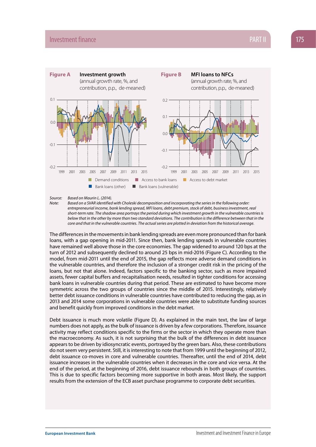### **Investment finance** PART II 175



*Source: Based on Maurin L. (2014).* 

*Note: Based on a SVAR identified with Choleski decomposition and incorporating the series in the following order: entrepreneurial income, bank lending spread, MFI loans, debt premium, stock of debt, business investment, real short-term rate. The shadow area portrays the period during which investment growth in the vulnerable countries is below that in the other by more than two standard deviations. The contribution is the difference between that in the core and that in the vulnerable countries. The actual series are plotted in deviation from the historical average.*

The differences in the movements in bank lending spreads are even more pronounced than for bank loans, with a gap opening in mid-2011. Since then, bank lending spreads in vulnerable countries have remained well above those in the core economies. The gap widened to around 120 bps at the turn of 2012 and subsequently declined to around 25 bps in mid-2016 (Figure C). According to the model, from mid-2011 until the end of 2015, the gap reflects more adverse demand conditions in the vulnerable countries, and therefore the inclusion of a stronger credit risk in the pricing of the loans, but not that alone. Indeed, factors specific to the banking sector, such as more impaired assets, fewer capital buffers and recapitalisation needs, resulted in tighter conditions for accessing bank loans in vulnerable countries during that period. These are estimated to have become more symmetric across the two groups of countries since the middle of 2015. Interestingly, relatively better debt issuance conditions in vulnerable countries have contributed to reducing the gap, as in 2013 and 2014 some corporations in vulnerable countries were able to substitute funding sources and benefit quickly from improved conditions in the debt market.

Debt issuance is much more volatile (Figure D). As explained in the main text, the law of large numbers does not apply, as the bulk of issuance is driven by a few corporations. Therefore, issuance activity may reflect conditions specific to the firms or the sector in which they operate more than the macroeconomy. As such, it is not surprising that the bulk of the differences in debt issuance appears to be driven by idiosyncratic events, portrayed by the green bars. Also, these contributions do not seem very persistent. Still, it is interesting to note that from 1999 until the beginning of 2012, debt issuance co-moves in core and vulnerable countries. Thereafter, until the end of 2014, debt issuance increases in the vulnerable countries when it decreases in the core and vice versa. At the end of the period, at the beginning of 2016, debt issuance rebounds in both groups of countries. This is due to specific factors becoming more supportive in both areas. Most likely, the support results from the extension of the ECB asset purchase programme to corporate debt securities.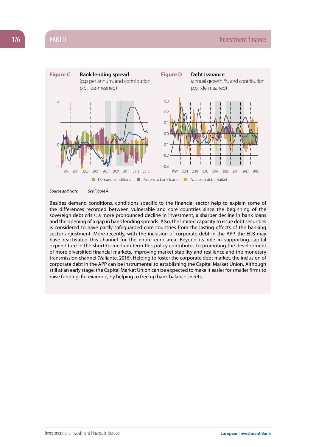



*Source and Note: See Figure A* 

Besides demand conditions, conditions specific to the financial sector help to explain some of the differences recorded between vulnerable and core countries since the beginning of the sovereign debt crisis: a more pronounced decline in investment, a sharper decline in bank loans and the opening of a gap in bank lending spreads. Also, the limited capacity to issue debt securities is considered to have partly safeguarded core countries from the lasting effects of the banking sector adjustment. More recently, with the inclusion of corporate debt in the APP, the ECB may have reactivated this channel for the entire euro area. Beyond its role in supporting capital expenditure in the short-to-medium term this policy contributes to promoting the development of more diversified financial markets, improving market stability and resilience and the monetary transmission channel (Valiante, 2016). Helping to foster the corporate debt market, the inclusion of corporate debt in the APP can be instrumental to establishing the Capital Market Union. Although still at an early stage, the Capital Market Union can be expected to make it easier for smaller firms to raise funding, for example, by helping to free up bank balance sheets.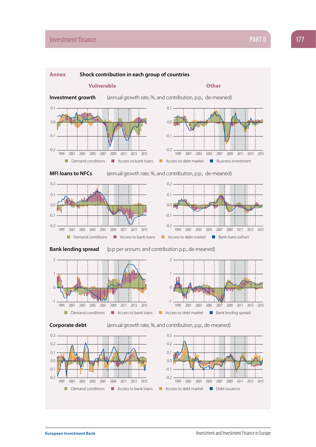### **Investment finance PART II 177**

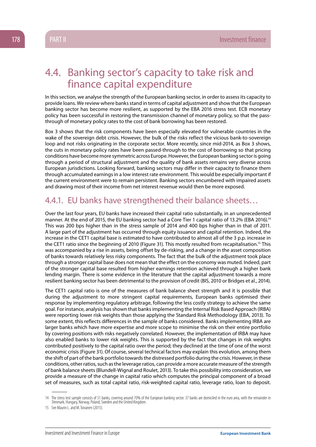# 4.4. Banking sector's capacity to take risk and finance capital expenditure

In this section, we analyse the strength of the European banking sector, in order to assess its capacity to provide loans. We review where banks stand in terms of capital adjustment and show that the European banking sector has become more resilient, as supported by the EBA 2016 stress test. ECB monetary policy has been successful in restoring the transmission channel of monetary policy, so that the passthrough of monetary policy rates to the cost of bank borrowing has been restored.

Box 3 shows that the risk components have been especially elevated for vulnerable countries in the wake of the sovereign debt crisis. However, the bulk of the risks reflect the vicious bank-to-sovereign loop and not risks originating in the corporate sector. More recently, since mid-2014, as Box 3 shows, the cuts in monetary policy rates have been passed-through to the cost of borrowing so that pricing conditions have become more symmetric across Europe. However, the European banking sector is going through a period of structural adjustment and the quality of bank assets remains very diverse across European jurisdictions. Looking forward, banking sectors may differ in their capacity to finance them through accumulated earnings in a low interest rate environment. This would be especially important if the current environment were to remain persistent. Banking sectors encumbered with impaired assets and drawing most of their income from net interest revenue would then be more exposed.

# 4.4.1. EU banks have strengthened their balance sheets…

Over the last four years, EU banks have increased their capital ratio substantially, in an unprecedented manner. At the end of 2015, the EU banking sector had a Core Tier 1 capital ratio of 13.2% (EBA 2016).<sup>14</sup> This was 200 bps higher than in the stress sample of 2014 and 400 bps higher than in that of 2011. A large part of the adjustment has occurred through equity issuance and capital retention. Indeed, the increase in the CET1 capital base is estimated to have contributed to almost all of the 3 p.p. increase in the CET1 ratio since the beginning of 2010 (Figure 31). This mostly resulted from recapitalisation.<sup>15</sup> This was accompanied by a rise in assets, being offset by de-risking, and a change in the asset composition of banks towards relatively less risky components. The fact that the bulk of the adjustment took place through a stronger capital base does not mean that the effect on the economy was muted. Indeed, part of the stronger capital base resulted from higher earnings retention achieved through a higher bank lending margin. There is some evidence in the literature that the capital adjustment towards a more resilient banking sector has been detrimental to the provision of credit (BIS, 2010 or Bridges et al., 2014).

The CET1 capital ratio is one of the measures of bank balance sheet strength and it is possible that during the adjustment to more stringent capital requirements, European banks optimised their response by implementing regulatory arbitrage, following the less costly strategy to achieve the same goal. For instance, analysis has shown that banks implementing the Internal Risk Based Approach (IRBA) were reporting lower risk weights than those applying the Standard Risk Methodology (EBA, 2013). To some extent, this reflects differences in the sample of banks considered. Banks implementing IRBA are larger banks which have more expertise and more scope to minimise the risk on their entire portfolio by covering positions with risks negatively correlated. However, the implementation of IRBA may have also enabled banks to lower risk weights. This is supported by the fact that changes in risk weights contributed positively to the capital ratio over the period; they declined at the time of one of the worst economic crisis (Figure 31). Of course, several technical factors may explain this evolution, among them the shift of part of the bank portfolio towards the distressed portfolio during the crisis. However, in these conditions, other ratios, such as the leverage ratios, can provide a more accurate measure of the strength of bank balance sheets (Blundell-Wignal and Roulet, 2013). To take this possibility into consideration, we provide a measure of the change in capital ratio which computes the principal component of a broad set of measures, such as total capital ratio, risk-weighted capital ratio, leverage ratio, loan to deposit.

<sup>14</sup> The stress test sample consists of 51 banks, covering around 70% of the European banking sector. 37 banks are domiciled in the euro area, with the remainder in Denmark, Hungary, Norway, Poland, Sweden and the United Kingdom.

<sup>15</sup> See Maurin L. and M. Toivanen (2015).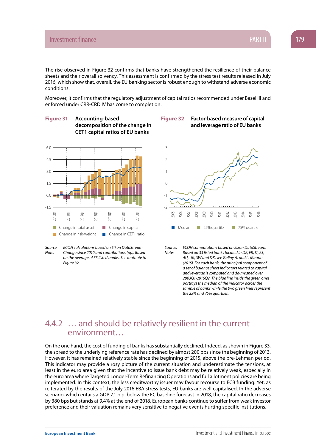The rise observed in Figure 32 confirms that banks have strengthened the resilience of their balance sheets and their overall solvency. This assessment is confirmed by the stress test results released in July 2016, which show that, overall, the EU banking sector is robust enough to withstand adverse economic conditions.

Moreover, it confirms that the regulatory adjustment of capital ratios recommended under Basel III and enforced under CRR-CRD IV has come to completion.







**Figure 32 Factor-based measure of capital** 



*Source: ECON computations based on Eikon DataStream. Note: Based on 33 listed banks located in DE, FR, IT, ES, AU, UK, SW and DK, see Galiay A. and L. Maurin (2015). For each bank, the principal component of a set of balance sheet indicators related to capital and leverage is computed and de-meaned over 2003Q1-2016Q2. The blue line inside the green ones portrays the median of the indicator across the sample of banks while the two green lines represent the 25% and 75% quartiles.*

# 4.4.2 … and should be relatively resilient in the current environment…

On the one hand, the cost of funding of banks has substantially declined. Indeed, as shown in Figure 33, the spread to the underlying reference rate has declined by almost 200 bps since the beginning of 2013. However, it has remained relatively stable since the beginning of 2015, above the pre-Lehman period. This indicator may provide a rosy picture of the current situation and underestimate the tensions, at least in the euro area given that the incentive to issue bank debt may be relatively weak, especially in the euro area where Targeted Longer-Term Refinancing Operations and full allotment policies are being implemented. In this context, the less creditworthy issuer may favour recourse to ECB funding. Yet, as reiterated by the results of the July 2016 EBA stress tests, EU banks are well capitalised. In the adverse scenario, which entails a GDP 7.1 p.p. below the EC baseline forecast in 2018, the capital ratio decreases by 380 bps but stands at 9.4% at the end of 2018. European banks continue to suffer from weak investor preference and their valuation remains very sensitive to negative events hurting specific institutions.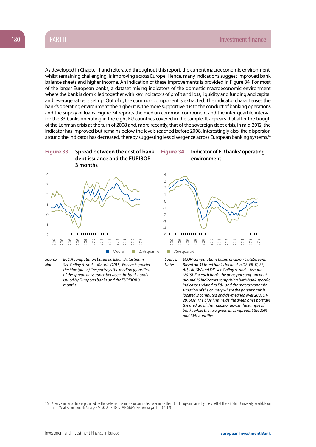As developed in Chapter 1 and reiterated throughout this report, the current macroeconomic environment, whilst remaining challenging, is improving across Europe. Hence, many indications suggest improved bank balance sheets and higher income. An indication of these improvements is provided in Figure 34. For most of the larger European banks, a dataset mixing indicators of the domestic macroeconomic environment where the bank is domiciled together with key indicators of profit and loss, liquidity and funding and capital and leverage ratios is set up. Out of it, the common component is extracted. The indicator characterises the bank's operating environment: the higher it is, the more supportive it is to the conduct of banking operations and the supply of loans. Figure 34 reports the median common component and the inter-quartile interval for the 33 banks operating in the eight EU countries covered in the sample. It appears that after the trough of the Lehman crisis at the turn of 2008 and, more recently, that of the sovereign debt crisis, in mid-2012, the indicator has improved but remains below the levels reached before 2008. Interestingly also, the dispersion around the indicator has decreased, thereby suggesting less divergence across European banking systems.<sup>16</sup>

#### **Figure 33 Spread between the cost of bank debt issuance and the EURIBOR 3 months**



*Source: ECON computation based on Eikon Datastream. Note: See Galiay A. and L. Maurin (2015). For each quarter, the blue (green) line portrays the median (quartiles) of the spread at issuance between the bank bonds issued by European banks and the EURIBOR 3 months.* 





*Source: ECON computations based on Eikon DataStream. Note: Based on 33 listed banks located in DE, FR, IT, ES, AU, UK, SW and DK, see Galiay A. and L. Maurin (2015). For each bank, the principal component of around 15 indicators comprising both bank-specific indicators related to P&L and the macroeconomic situation of the country where the parent bank is located is computed and de-meaned over 2003Q1- 2016Q2. The blue line inside the green ones portrays the median of the indicator across the sample of* 

*and 75% quartiles.*

*banks while the two green lines represent the 25%* 

<sup>16</sup> A very similar picture is provided by the systemic risk indicator computed over more than 300 European banks by the VLAB at the NY Stern University available on http://vlab.stern.nyu.edu/analysis/RISK.WORLDFIN-MR.GMES. See Archarya et al. (2012).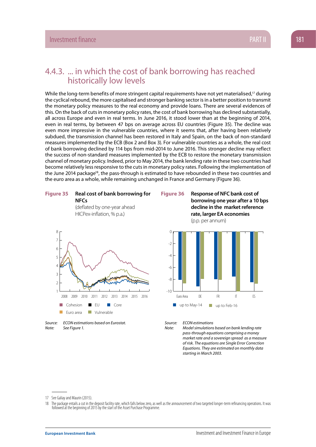## 4.4.3. ... in which the cost of bank borrowing has reached historically low levels

While the long-term benefits of more stringent capital requirements have not vet materialised.<sup>17</sup> during the cyclical rebound, the more capitalised and stronger banking sector is in a better position to transmit the monetary policy measures to the real economy and provide loans. There are several evidences of this. On the back of cuts in monetary policy rates, the cost of bank borrowing has declined substantially, all across Europe and even in real terms. In June 2016, it stood lower than at the beginning of 2014, even in real terms, by between 47 bps on average across EU countries (Figure 35). The decline was even more impressive in the vulnerable countries, where it seems that, after having been relatively subdued, the transmission channel has been restored in Italy and Spain, on the back of non-standard measures implemented by the ECB (Box 2 and Box 3). For vulnerable countries as a whole, the real cost of bank borrowing declined by 114 bps from mid-2014 to June 2016. This stronger decline may reflect the success of non-standard measures implemented by the ECB to restore the monetary transmission channel of monetary policy. Indeed, prior to May 2014, the bank lending rate in these two countries had become relatively less responsive to the cuts in monetary policy rates. Following the implementation of the June 2014 package<sup>18</sup>, the pass-through is estimated to have rebounded in these two countries and the euro area as a whole, while remaining unchanged in France and Germany (Figure 36).



*Source: ECON estimations based on Eurostat. Note: See Figure 1.* 

*Source: ECON estimations*

*Note: Model simulations based on bank lending rate pass-through equations comprising a money market rate and a sovereign spread as a measure of risk. The equations are Single Error Correction Equations. They are estimated on monthly data starting in March 2003.*

17 See Galiay and Maurin (2015).

The package entails a cut in the deposit facility rate, which falls below zero, as well as the announcement of two targeted longer-term refinancing operations. It was followed at the beginning of 2015 by the start of the Asset Purchase Programme.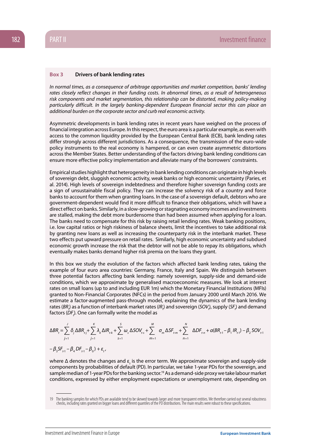#### **Box 3 Drivers of bank lending rates**

*In normal times, as a consequence of arbitrage opportunities and market competition, banks' lending rates closely reflect changes in their funding costs. In abnormal times, as a result of heterogeneous risk components and market segmentation, this relationship can be distorted, making policy-making particularly difficult. In the largely banking-dependent European financial sector this can place an additional burden on the corporate sector and curb real economic activity.*

Asymmetric developments in bank lending rates in recent years have weighed on the process of financial integration across Europe. In this respect, the euro area is a particular example, as even with access to the common liquidity provided by the European Central Bank (ECB), bank lending rates differ strongly across different jurisdictions. As a consequence, the transmission of the euro-wide policy instruments to the real economy is hampered, or can even create asymmetric distortions across the Member States. Better understanding of the factors driving bank lending conditions can ensure more effective policy implementation and alleviate many of the borrowers' constraints.

Empirical studies highlight that heterogeneity in bank lending conditions can originate in high levels of sovereign debt, sluggish economic activity, weak banks or high economic uncertainty (Paries, et al. 2014). High levels of sovereign indebtedness and therefore higher sovereign funding costs are a sign of unsustainable fiscal policy. They can increase the solvency risk of a country and force banks to account for them when granting loans. In the case of a sovereign default, debtors who are government-dependent would find it more difficult to finance their obligations, which will have a direct effect on banks. Similarly, in a slow-growing or stagnating economy incomes and investments are stalled, making the debt more burdensome than had been assumed when applying for a loan. The banks need to compensate for this risk by raising retail lending rates. Weak banking positions, i.e. low capital ratios or high riskiness of balance sheets, limit the incentives to take additional risk by granting new loans as well as increasing the counterparty risk in the interbank market. These two effects put upward pressure on retail rates. Similarly, high economic uncertainty and subdued economic growth increase the risk that the debtor will not be able to repay its obligations, which eventually makes banks demand higher risk premia on the loans they grant.

In this box we study the evolution of the factors which affected bank lending rates, taking the example of four euro area countries: Germany, France, Italy and Spain. We distinguish between three potential factors affecting bank lending: namely sovereign, supply-side and demand-side conditions, which we approximate by generalised macroeconomic measures. We look at interest rates on small loans (up to and including EUR 1m) which the Monetary Financial Institutions (MFIs) granted to Non-Financial Corporates (NFCs) in the period from January 2000 until March 2016. We estimate a factor-augmented pass-through model, explaining the dynamics of the bank lending rates (BR<sub>r</sub>) as a function of interbank market rates (IR<sub>r</sub>) and sovereign (*SOV<sub>r</sub>*), supply (*SF<sub>r</sub>*) and demand factors (DF<sub>t</sub>). One can formally write the model as

$$
\Delta BR_t = \sum_{j=1}^J \delta_j \Delta BR_{t,j} + \sum_{j=1}^K \lambda_k \Delta IR_{t-k} + \sum_{s=1}^S \omega_s \Delta SOV_{t-s} + \sum_{m=1}^M \sigma_m \Delta SF_{t-m} + \sum_{n=1}^N \Delta DF_{t-n} + \alpha (BR_{t-1} - \beta_1 IR_{t-1}) - \beta_2 SOV_{t-1}
$$

$$
-\beta_3 SF_{t-1} - \beta_4 DF_{t-1} - \beta_0) + \varepsilon_{t'}
$$

where Δ denotes the changes and  $\bm{\varepsilon}_{t}$  is the error term. We approximate sovereign and supply-side components by probabilities of default (PD). In particular, we take 1-year PDs for the sovereign, and sample median of 1-year PDs for the banking sector.<sup>19</sup> As a demand-side proxy we take labour market conditions, expressed by either employment expectations or unemployment rate, depending on

<sup>19</sup> The banking samples for which PDs are available tend to be skewed towards larger and more transparent entities. We therefore carried out several robustness checks, including rates granted on bigger loans and different quantiles of the PD distributions. The main results were robust to these specifications.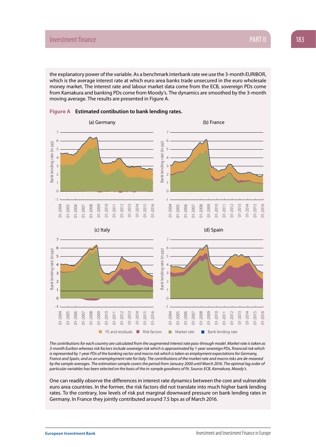the explanatory power of the variable. As a benchmark interbank rate we use the 3-month EURIBOR, which is the average interest rate at which euro area banks trade unsecured in the euro wholesale money market. The interest rate and labour market data come from the ECB, sovereign PDs come from Kamakura and banking PDs come from Moody's. The dynamics are smoothed by the 3-month moving average. The results are presented in Figure A.





*The contributions for each country are calculated from the augmented interest rate pass-through model. Market rate is taken as 3-month Euribor whereas risk factors include sovereign risk which is approximated by 1-year sovereign PDs, financial risk which is represented by 1-year PDs of the banking sector and macro risk which is taken as employment expectations for Germany, France and Spain, and as an unemployment rate for Italy. The contributions of the market rate and macro risks are de-meaned*  by the sample averages. The estimation sample covers the period from January 2000 until March 2016. The optimal lag order of *particular variables has been selected on the basis of the in-sample goodness of fit. Source: ECB, Kamakura, Moody's.*

One can readily observe the differences in interest rate dynamics between the core and vulnerable euro area countries. In the former, the risk factors did not translate into much higher bank lending rates. To the contrary, low levels of risk put marginal downward pressure on bank lending rates in Germany. In France they jointly contributed around 7.5 bps as of March 2016.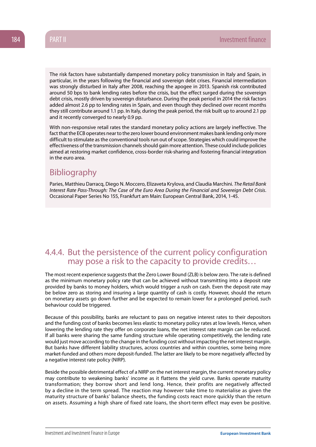The risk factors have substantially dampened monetary policy transmission in Italy and Spain, in particular, in the years following the financial and sovereign debt crises. Financial intermediation was strongly disturbed in Italy after 2008, reaching the apogee in 2013. Spanish risk contributed around 50 bps to bank lending rates before the crisis, but the effect surged during the sovereign debt crisis, mostly driven by sovereign disturbance. During the peak period in 2014 the risk factors added almost 2.6 pp to lending rates in Spain, and even though they declined over recent months they still contribute around 1.1 pp. In Italy, during the peak period, the risk built up to around 2.1 pp and it recently converged to nearly 0.9 pp.

With non-responsive retail rates the standard monetary policy actions are largely ineffective. The fact that the ECB operates near to the zero lower bound environment makes bank lending only more difficult to stimulate as the conventional tools run out of scope. Strategies which could improve the effectiveness of the transmission channels should gain more attention. These could include policies aimed at restoring market confidence, cross-border risk-sharing and fostering financial integration in the euro area.

# Bibliography

Paries, Matthieu Darracq, Diego N. Moccero, Elizaveta Krylova, and Claudia Marchini. *The Retail Bank Interest Rate Pass-Through: The Case of the Euro Area During the Financial and Sovereign Debt Crisis*. Occasional Paper Series No 155, Frankfurt am Main: European Central Bank, 2014, 1-45.

## 4.4.4. But the persistence of the current policy configuration may pose a risk to the capacity to provide credits…

The most recent experience suggests that the Zero Lower Bound (ZLB) is below zero. The rate is defined as the minimum monetary policy rate that can be achieved without transmitting into a deposit rate provided by banks to money holders, which would trigger a rush on cash. Even the deposit rate may be below zero as storing and insuring a large quantity of cash is costly. However, should the return on monetary assets go down further and be expected to remain lower for a prolonged period, such behaviour could be triggered.

Because of this possibility, banks are reluctant to pass on negative interest rates to their depositors and the funding cost of banks becomes less elastic to monetary policy rates at low levels. Hence, when lowering the lending rate they offer on corporate loans, the net interest rate margin can be reduced. If all banks were sharing the same funding structure while operating competitively, the lending rate would just move according to the change in the funding cost without impacting the net interest margin. But banks have different liability structures, across countries and within countries, some being more market-funded and others more deposit-funded. The latter are likely to be more negatively affected by a negative interest rate policy (NIRP).

Beside the possible detrimental effect of a NIRP on the net interest margin, the current monetary policy may contribute to weakening banks' income as it flattens the yield curve. Banks operate maturity transformation; they borrow short and lend long. Hence, their profits are negatively affected by a decline in the term spread. The reaction may however take time to materialise as given the maturity structure of banks' balance sheets, the funding costs react more quickly than the return on assets. Assuming a high share of fixed rate loans, the short-term effect may even be positive.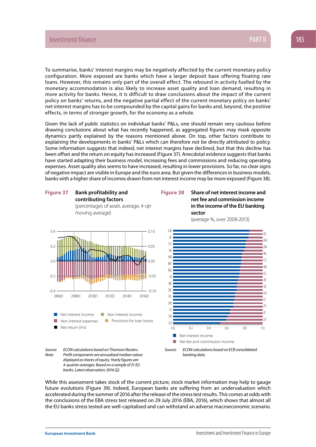To summarise, banks' interest margins may be negatively affected by the current monetary policy configuration. More exposed are banks which have a larger deposit base offering floating rate loans. However, this remains only part of the overall effect. The rebound in activity fuelled by the monetary accommodation is also likely to increase asset quality and loan demand, resulting in more activity for banks. Hence, it is difficult to draw conclusions about the impact of the current policy on banks' returns, and the negative partial effect of the current monetary policy on banks' net interest margins has to be compounded by the capital gains for banks and, beyond, the positive effects, in terms of stronger growth, for the economy as a whole.

Given the lack of public statistics on individual banks' P&Ls, one should remain very cautious before drawing conclusions about what has recently happened, as aggregated figures may mask opposite dynamics partly explained by the reasons mentioned above. On top, other factors contribute to explaining the developments in banks' P&Ls which can therefore not be directly attributed to policy. Some information suggests that indeed, net interest margins have declined, but that this decline has been offset and the return on equity has increased (Figure 37). Anecdotal evidence suggests that banks have started adapting their business model, increasing fees and commissions and reducing operating expenses. Asset quality also seems to have increased, resulting in lower provisions. So far, no clear signs of negative impact are visible in Europe and the euro area. But given the differences in business models, banks with a higher share of incomes drawn from net interest income may be more exposed (Figure 38).



While this assessment takes stock of the current picture, stock market information may help to gauge future evolutions (Figure 39). Indeed, European banks are suffering from an undervaluation which accelerated during the summer of 2016 after the release of the stress test results. This comes at odds with the conclusions of the EBA stress test released on 29 July 2016 (EBA, 2016), which shows that almost all the EU banks stress tested are well-capitalised and can withstand an adverse macroeconomic scenario.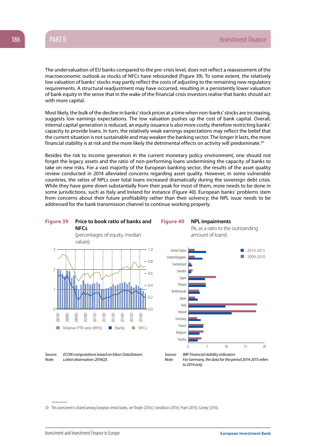The undervaluation of EU banks compared to the pre-crisis level, does not reflect a reassessment of the macroeconomic outlook as stocks of NFCs have rebounded (Figure 39). To some extent, the relatively low valuation of banks' stocks may partly reflect the costs of adjusting to the remaining new regulatory requirements. A structural readjustment may have occurred, resulting in a persistently lower valuation of bank equity in the sense that in the wake of the financial crisis investors realise that banks should act with more capital.

Most likely, the bulk of the decline in banks' stock prices at a time when non-banks' stocks are increasing, suggests low earnings expectations. The low valuation pushes up the cost of bank capital. Overall, internal capital generation is reduced, an equity issuance is also more costly, therefore restricting banks' capacity to provide loans. In turn, the relatively weak earnings expectations may reflect the belief that the current situation is not sustainable and may weaken the banking sector. The longer it lasts, the more financial stability is at risk and the more likely the detrimental effects on activity will predominate.<sup>20</sup>

Besides the risk to income generation in the current monetary policy environment, one should not forget the legacy assets and the ratio of non-performing loans undermining the capacity of banks to take on new risks. For a vast majority of the European banking sector, the results of the asset quality review conducted in 2014 alleviated concerns regarding asset quality. However, in some vulnerable countries, the ratios of NPLs over total loans increased dramatically during the sovereign debt crisis. While they have gone down substantially from their peak for most of them, more needs to be done in some jurisdictions, such as Italy and Ireland for instance (Figure 40). European banks' problems stem from concerns about their future profitability rather than their solvency; the NPL issue needs to be addressed for the bank transmission channel to continue working properly.



*Source: ECON computations based on Eikon DataStream. Note: Latest observation: 2016Q3.*

20 This assessment is shared among European central banks, see Draghi (2016), Constâncio (2016), Praet (2016), Carney (2016).

*Source: IMF Financial stability indicators Note: For Germany, the data for the period 2014-2015 refers to 2014 only.*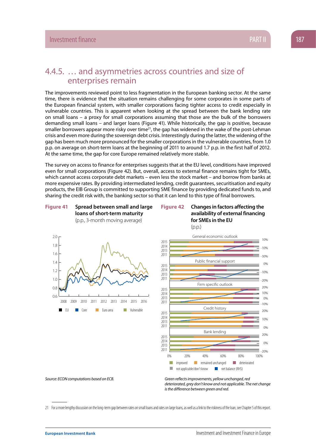### 4.4.5. … and asymmetries across countries and size of enterprises remain

The improvements reviewed point to less fragmentation in the European banking sector. At the same time, there is evidence that the situation remains challenging for some corporates in some parts of the European financial system, with smaller corporations facing tighter access to credit especially in vulnerable countries. This is apparent when looking at the spread between the bank lending rate on small loans – a proxy for small corporations assuming that those are the bulk of the borrowers demanding small loans – and larger loans (Figure 41). While historically, the gap is positive, because smaller borrowers appear more risky over time<sup>21</sup>, the gap has widened in the wake of the post-Lehman crisis and even more during the sovereign debt crisis. Interestingly during the latter, the widening of the gap has been much more pronounced for the smaller corporations in the vulnerable countries, from 1.0 p.p. on average on short-term loans at the beginning of 2011 to around 1.7 p.p. in the first half of 2012. At the same time, the gap for core Europe remained relatively more stable.

The survey on access to finance for enterprises suggests that at the EU level, conditions have improved even for small corporations (Figure 42). But, overall, access to external finance remains tight for SMEs, which cannot access corporate debt markets – even less the stock market – and borrow from banks at more expensive rates. By providing intermediated lending, credit guarantees, securitisation and equity products, the EIB Group is committed to supporting SME finance by providing dedicated funds to, and sharing the credit risk with, the banking sector so that it can lend to this type of final borrowers.









*Source: ECON computations based on ECB. Green reflects improvements, yellow unchanged, red deteriorated, grey don't know and not applicable. The net change is the difference between green and red.*

21 For a more lengthy discussion on the long-term gap between rates on small loans and rates on large loans, as well as a link to the riskiness of the loan, see Chapter 5 of this report.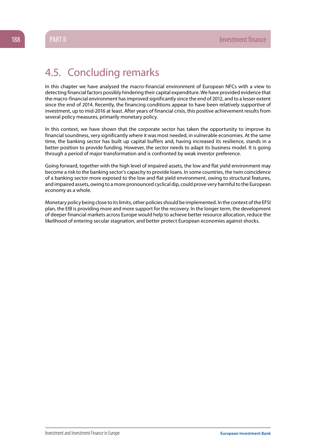# 4.5. Concluding remarks

In this chapter we have analysed the macro-financial environment of European NFCs with a view to detecting financial factors possibly hindering their capital expenditure. We have provided evidence that the macro-financial environment has improved significantly since the end of 2012, and to a lesser extent since the end of 2014. Recently, the financing conditions appear to have been relatively supportive of investment, up to mid-2016 at least. After years of financial crisis, this positive achievement results from several policy measures, primarily monetary policy.

In this context, we have shown that the corporate sector has taken the opportunity to improve its financial soundness, very significantly where it was most needed, in vulnerable economies. At the same time, the banking sector has built up capital buffers and, having increased its resilience, stands in a better position to provide funding. However, the sector needs to adapt its business model. It is going through a period of major transformation and is confronted by weak investor preference.

Going forward, together with the high level of impaired assets, the low and flat yield environment may become a risk to the banking sector's capacity to provide loans. In some countries, the twin coincidence of a banking sector more exposed to the low and flat yield environment, owing to structural features, and impaired assets, owing to a more pronounced cyclical dip, could prove very harmful to the European economy as a whole.

Monetary policy being close to its limits, other policies should be implemented. In the context of the EFSI plan, the EIB is providing more and more support for the recovery. In the longer term, the development of deeper financial markets across Europe would help to achieve better resource allocation, reduce the likelihood of entering secular stagnation, and better protect European economies against shocks.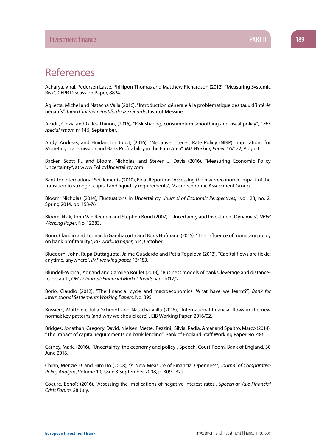# References

Acharya, Viral, Pedersen Lasse, Phillipon Thomas and Matthew Richardson (2012), "Measuring Systemic Risk", CEPR Discussion Paper, 8824.

Aglietta, Michel and Natacha Valla (2016), "Introduction générale à la problématique des taux d´intérêt négatifs", *taux d´intérêt négatifs, douze regards*, Institut Messine.

Alcidi , Cinzia and Gilles Thirion, (2016), "Risk sharing, consumption smoothing and fiscal policy", *CEPS special report*, n° 146, September.

Andy, Andreas, and Huidan Lin Jobst, (2016), "Negative Interest Rate Policy (NIRP): Implications for Monetary Transmission and Bank Profitability in the Euro Area", *IMF Working Paper*, 16/172, August.

Backer, Scott R., and Bloom, Nicholas, and Steven J. Davis (2016). "Measuring Economic Policy Uncertainty", at www.PolicyUncertainty.com.

Bank for International Settlements (2010), Final Report on "Assessing the macroeconomic impact of the transition to stronger capital and liquidity requirements", Macroeconomic Assessment Group

Bloom, Nicholas (2014), Fluctuations in Uncertainty, *Journal of Economic Perspectives*, vol. 28, no. 2, Spring 2014, pp. 153-76

Bloom, Nick, John Van Reenen and Stephen Bond (2007), "Uncertainty and Investment Dynamics", *NBER Working Paper*, No. 12383.

Borio, Claudio and Leonardo Gambacorta and Boris Hofmann (2015), "The influence of monetary policy on bank profitability", *BIS working paper,* 514, October.

Bluedorn, John, Rupa Duttagupta, Jaime Guadardo and Petia Topalova (2013), "Capital flows are fickle: anytime, anywhere", *IMF working paper,* 13/183.

Blundell-Wignal, Adriand and Carolien Roulet (2013), "Business models of banks, leverage and distanceto-default", *OECD Journal: Financial Market Trends*, vol. 2012/2.

Borio, Claudio (2012), "The financial cycle and macroeconomics: What have we learnt?", *Bank for International Settlements Working Papers*, No. 395.

Bussière, Matthieu, Julia Schmidt and Natacha Valla (2016), "International financial flows in the new normal: key patterns (and why we should care)", EIB Working Paper, 2016/02.

Bridges, Jonathan, Gregory, David, Nielsen, Mette, Pezzini, Silvia, Radia, Amar and Spaltro, Marco (2014), "The impact of capital requirements on bank lending", Bank of England Staff Working Paper No. 486

Carney, Mark, (2016), ''Uncertainty, the economy and policy", Speech, Court Room, Bank of England, 30 June 2016.

Chinn, Menzie D. and Hiro Ito (2008), "A New Measure of Financial Openness", *Journal of Comparative Policy Analysis*, Volume 10, Issue 3 September 2008, p. 309 - 322.

Coeuré, Benoît (2016), "Assessing the implications of negative interest rates", *Speech at Yale Financial Crisis Forum*, 28 July.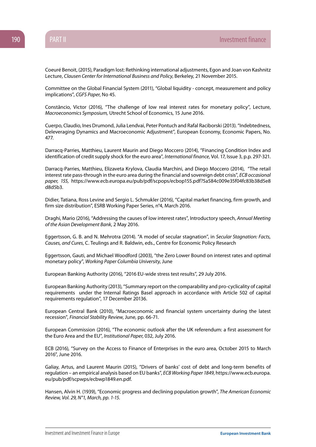Coeuré Benoit, (2015), Paradigm lost: Rethinking international adjustments, Egon and Joan von Kashnitz Lecture, *Clausen Center for International Business and Policy*, Berkeley, 21 November 2015.

Committee on the Global Financial System (2011), "Global liquidity - concept, measurement and policy implications", *CGFS Paper*, No 45.

Constâncio, Victor (2016), "The challenge of low real interest rates for monetary policy", Lecture, *Macroeconomics Symposium,* Utrecht School of Economics, 15 June 2016.

Cuerpo, Claudio, Ines Drumond, Julia Lendvai, Peter Pontuch and Rafal Raciborski (2013). "Indebtedness, Deleveraging Dynamics and Macroeconomic Adjustment", European Economy, Economic Papers, No. 477.

Darracq-Parries, Matthieu, Laurent Maurin and Diego Moccero (2014), "Financing Condition Index and identification of credit supply shock for the euro area", *International finance*, Vol. 17, Issue 3, p.p. 297-321.

Darracq-Parries, Matthieu, Elizaveta Krylova, Claudia Marchini, and Diego Moccero (2014), "The retail interest rate pass-through in the euro area during the financial and sovereign debt crisis", *ECB occasional paper, 155,* https://www.ecb.europa.eu/pub/pdf/scpops/ecbop155.pdf?5a584c009e35f04fc83b38d5e8 d8d5b3.

Didier, Tatiana, Ross Levine and Sergio L. Schmukler (2016), "Capital market financing, firm growth, and firm size distribution", ESRB Working Paper Series, n°4, March 2016.

Draghi, Mario (2016), "Addressing the causes of low interest rates", Introductory speech, *Annual Meeting of the Asian Development Bank*, 2 May 2016.

Eggertsson, G. B. and N. Mehrotra (2014). "A model of secular stagnation", in *Secular Stagnation: Facts, Causes, and Cures*, C. Teulings and R. Baldwin, eds., Centre for Economic Policy Research

Eggertsson, Gauti, and Michael Woodford (2003), "the Zero Lower Bound on interest rates and optimal monetary policy", *Working Paper Columbia University*, June

European Banking Authority (2016), "2016 EU-wide stress test results", 29 July 2016.

European Banking Authority (2013), "Summary report on the comparability and pro-cyclicality of capital requirements under the Internal Ratings Basel approach in accordance with Article 502 of capital requirements regulation", 17 December 20136.

European Central Bank (2010), "Macroeconomic and financial system uncertainty during the latest recession", *Financial Stability Review*, June, pp. 66-71.

European Commission (2016), "The economic outlook after the UK referendum: a first assessment for the Euro Area and the EU", *Institutional Paper*, 032, July 2016.

ECB (2016), "Survey on the Access to Finance of Enterprises in the euro area, October 2015 to March 2016", June 2016.

Galiay, Artus, and Laurent Maurin (2015), "Drivers of banks' cost of debt and long-term benefits of regulation – an empirical analysis based on EU banks", *ECB Working Paper 1849*, https://www.ecb.europa. eu/pub/pdf/scpwps/ecbwp1849.en.pdf.

Hansen, Alvin H. (1939), "Economic progress and declining population growth", *The American Economic Review, Vol. 29, N°1, March, pp. 1-15.*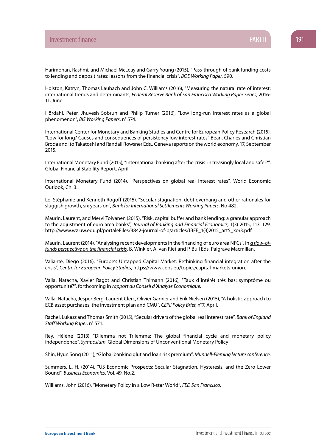Harimohan, Rashmi, and Michael McLeay and Garry Young (2015), "Pass-through of bank funding costs to lending and deposit rates: lessons from the financial crisis", *BOE Working Paper,* 590.

Holston, Katryn, Thomas Laubach and John C. Williams (2016), "Measuring the natural rate of interest: international trends and determinants, *Federal Reserve Bank of San Francisco Working Paper Series*, 2016- 11, June.

Hördahl, Peter, Jhuvesh Sobrun and Philip Turner (2016), "Low long-run interest rates as a global phenomenon", *BIS Working Papers*, n° 574.

International Center for Monetary and Banking Studies and Centre for European Policy Research (2015), "Low for long? Causes and consequences of persistency low interest rates" Bean, Charles and Christian Broda and Ito Takatoshi and Randall Rowsner Eds., Geneva reports on the world economy, 17, September 2015.

International Monetary Fund (2015), "International banking after the crisis: increasingly local and safer?", Global Financial Stability Report, April.

International Monetary Fund (2014), "Perspectives on global real interest rates", World Economic Outlook, Ch. 3.

Lo, Stéphanie and Kenneth Rogoff (2015). "Secular stagnation, debt overhang and other rationales for sluggish growth, six years on", *Bank for International Settlements Working Papers*, No 482.

Maurin, Laurent, and Mervi Toivanen (2015), "Risk, capital buffer and bank lending: a granular approach to the adjustment of euro area banks", *Journal of Banking and Financial Economics,* 1(3) 2015, 113–129. http://www.wz.uw.edu.pl/portaleFiles/3842-journal-of-b/articles/JBFE\_1(3)2015\_art5\_kor3.pdf

Maurin, Laurent (2014), "Analysing recent developments in the financing of euro area NFCs", in *a flow-offunds perspective on the financial crisis*, B. Winkler, A. van Riet and P. Bull Eds, Palgrave Macmillan.

Valiante, Diego (2016), "Europe's Untapped Capital Market: Rethinking financial integration after the crisis", *Centre for European Policy Studies*, https://www.ceps.eu/topics/capital-markets-union.

Valla, Natacha, Xavier Ragot and Christian Thimann (2016), "Taux d´intérêt très bas: symptôme ou opportunité?", forthcoming in *rapport du Conseil d´Analyse Economique*.

Valla, Natacha, Jesper Berg, Laurent Clerc, Olivier Garnier and Erik Nielsen (2015), "A holistic approach to ECB asset purchases, the investment plan and CMU", *CEPII Policy Brief*, n°7, April.

Rachel, Lukasz and Thomas Smith (2015), "Secular drivers of the global real interest rate", *Bank of England Staff Working Paper*, n° 571.

Rey, Hélène (2013) "Dilemma not Trilemma: The global financial cycle and monetary policy independence", *Symposium*, Global Dimensions of Unconventional Monetary Policy

Shin, Hyun Song (2011), "Global banking glut and loan risk premium", *Mundell-Fleming lecture conference*.

Summers, L. H. (2014). "US Economic Prospects: Secular Stagnation, Hysteresis, and the Zero Lower Bound", *Business Economics*, Vol. 49, No.2.

Williams, John (2016), "Monetary Policy in a Low R-star World", *FED San Francisco*.